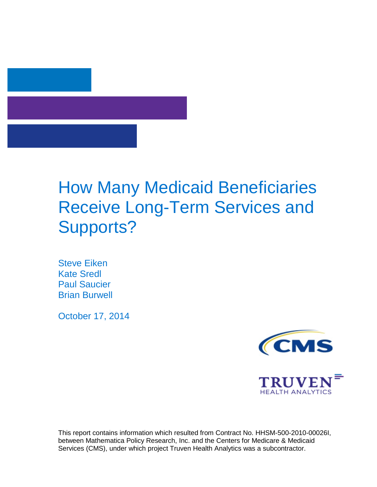

# How Many Medicaid Beneficiaries Receive Long-Term Services and Supports?

Steve Eiken Kate Sredl Paul Saucier Brian Burwell

October 17, 2014





<span id="page-0-0"></span>This report contains information which resulted from Contract No. HHSM-500-2010-00026I, between Mathematica Policy Research, Inc. and the Centers for Medicare & Medicaid Services (CMS), under which project Truven Health Analytics was a subcontractor.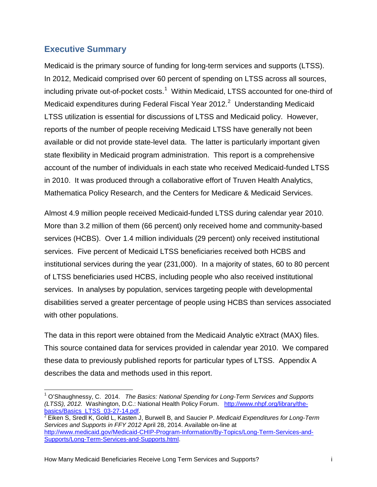# <span id="page-1-1"></span>**Executive Summary**

Medicaid is the primary source of funding for long-term services and supports (LTSS). In 2012, Medicaid comprised over 60 percent of spending on LTSS across all sources, including private out-of-pocket costs.<sup>[1](#page-0-0)</sup> Within Medicaid, LTSS accounted for one-third of Medicaid expenditures during Federal Fiscal Year [2](#page-1-0)012.<sup>2</sup> Understanding Medicaid LTSS utilization is essential for discussions of LTSS and Medicaid policy. However, reports of the number of people receiving Medicaid LTSS have generally not been available or did not provide state-level data. The latter is particularly important given state flexibility in Medicaid program administration. This report is a comprehensive account of the number of individuals in each state who received Medicaid-funded LTSS in 2010. It was produced through a collaborative effort of Truven Health Analytics, Mathematica Policy Research, and the Centers for Medicare & Medicaid Services.

Almost 4.9 million people received Medicaid-funded LTSS during calendar year 2010. More than 3.2 million of them (66 percent) only received home and community-based services (HCBS). Over 1.4 million individuals (29 percent) only received institutional services. Five percent of Medicaid LTSS beneficiaries received both HCBS and institutional services during the year (231,000). In a majority of states, 60 to 80 percent of LTSS beneficiaries used HCBS, including people who also received institutional services. In analyses by population, services targeting people with developmental disabilities served a greater percentage of people using HCBS than services associated with other populations.

The data in this report were obtained from the Medicaid Analytic eXtract (MAX) files. This source contained data for services provided in calendar year 2010. We compared these data to previously published reports for particular types of LTSS. Appendix A describes the data and methods used in this report.

<span id="page-1-2"></span> $\overline{\phantom{a}}$ <sup>1</sup> O'Shaughnessy, C. 2014. *The Basics: National Spending for Long-Term Services and Supports (LTSS), 2012.* Washington, D.C.: National Health Policy Forum. [http://www.nhpf.org/library/the](http://www.nhpf.org/library/the-basics/Basics_LTSS_03-27-14.pdf)[basics/Basics\\_LTSS\\_03-27-14.pdf.](http://www.nhpf.org/library/the-basics/Basics_LTSS_03-27-14.pdf) <sup>2</sup> Eiken S, Sredl K, Gold L, Kasten J, Burwell B, and Saucier P. *Medicaid Expenditures for Long-Term* 

<span id="page-1-0"></span>*Services and Supports in FFY 2012* April 28, 2014. Available on-line at [http://www.medicaid.gov/Medicaid-CHIP-Program-Information/By-Topics/Long-Term-Services-and-](http://www.medicaid.gov/Medicaid-CHIP-Program-Information/By-Topics/Long-Term-Services-and-Supports/Long-Term-Services-and-Supports.html)[Supports/Long-Term-Services-and-Supports.html.](http://www.medicaid.gov/Medicaid-CHIP-Program-Information/By-Topics/Long-Term-Services-and-Supports/Long-Term-Services-and-Supports.html)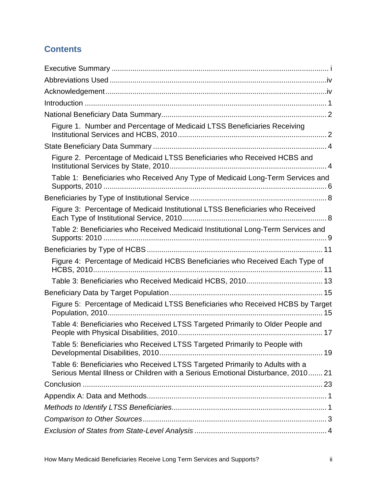# **Contents**

| Figure 1. Number and Percentage of Medicaid LTSS Beneficiaries Receiving                                                                                         |
|------------------------------------------------------------------------------------------------------------------------------------------------------------------|
|                                                                                                                                                                  |
| Figure 2. Percentage of Medicaid LTSS Beneficiaries who Received HCBS and                                                                                        |
| Table 1: Beneficiaries who Received Any Type of Medicaid Long-Term Services and                                                                                  |
|                                                                                                                                                                  |
| Figure 3: Percentage of Medicaid Institutional LTSS Beneficiaries who Received                                                                                   |
| Table 2: Beneficiaries who Received Medicaid Institutional Long-Term Services and                                                                                |
|                                                                                                                                                                  |
| Figure 4: Percentage of Medicaid HCBS Beneficiaries who Received Each Type of                                                                                    |
|                                                                                                                                                                  |
|                                                                                                                                                                  |
| Figure 5: Percentage of Medicaid LTSS Beneficiaries who Received HCBS by Target                                                                                  |
| Table 4: Beneficiaries who Received LTSS Targeted Primarily to Older People and                                                                                  |
| Table 5: Beneficiaries who Received LTSS Targeted Primarily to People with                                                                                       |
| Table 6: Beneficiaries who Received LTSS Targeted Primarily to Adults with a<br>Serious Mental Illness or Children with a Serious Emotional Disturbance, 2010 21 |
|                                                                                                                                                                  |
|                                                                                                                                                                  |
|                                                                                                                                                                  |
|                                                                                                                                                                  |
|                                                                                                                                                                  |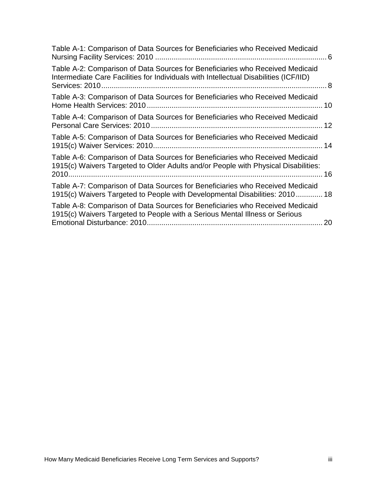| Table A-1: Comparison of Data Sources for Beneficiaries who Received Medicaid                                                                                          |  |
|------------------------------------------------------------------------------------------------------------------------------------------------------------------------|--|
| Table A-2: Comparison of Data Sources for Beneficiaries who Received Medicaid<br>Intermediate Care Facilities for Individuals with Intellectual Disabilities (ICF/IID) |  |
| Table A-3: Comparison of Data Sources for Beneficiaries who Received Medicaid                                                                                          |  |
| Table A-4: Comparison of Data Sources for Beneficiaries who Received Medicaid                                                                                          |  |
| Table A-5: Comparison of Data Sources for Beneficiaries who Received Medicaid                                                                                          |  |
| Table A-6: Comparison of Data Sources for Beneficiaries who Received Medicaid<br>1915(c) Waivers Targeted to Older Adults and/or People with Physical Disabilities:    |  |
| Table A-7: Comparison of Data Sources for Beneficiaries who Received Medicaid<br>1915(c) Waivers Targeted to People with Developmental Disabilities: 2010 18           |  |
| Table A-8: Comparison of Data Sources for Beneficiaries who Received Medicaid<br>1915(c) Waivers Targeted to People with a Serious Mental Illness or Serious<br>20     |  |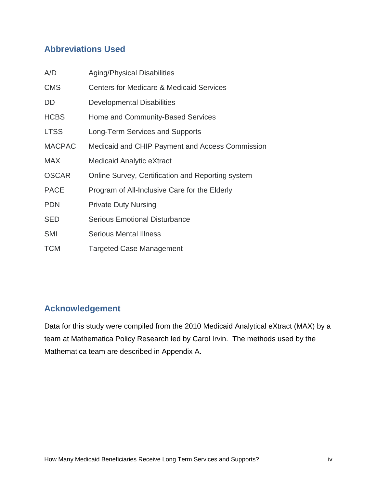# <span id="page-4-0"></span>**Abbreviations Used**

| A/D           | <b>Aging/Physical Disabilities</b>                  |
|---------------|-----------------------------------------------------|
| <b>CMS</b>    | <b>Centers for Medicare &amp; Medicaid Services</b> |
| DD            | Developmental Disabilities                          |
| <b>HCBS</b>   | Home and Community-Based Services                   |
| <b>LTSS</b>   | Long-Term Services and Supports                     |
| <b>MACPAC</b> | Medicaid and CHIP Payment and Access Commission     |
| <b>MAX</b>    | Medicaid Analytic eXtract                           |
| <b>OSCAR</b>  | Online Survey, Certification and Reporting system   |
| <b>PACE</b>   | Program of All-Inclusive Care for the Elderly       |
| <b>PDN</b>    | <b>Private Duty Nursing</b>                         |
| <b>SED</b>    | <b>Serious Emotional Disturbance</b>                |
| <b>SMI</b>    | <b>Serious Mental Illness</b>                       |
| <b>TCM</b>    | <b>Targeted Case Management</b>                     |

# <span id="page-4-1"></span>**Acknowledgement**

Data for this study were compiled from the 2010 Medicaid Analytical eXtract (MAX) by a team at Mathematica Policy Research led by Carol Irvin. The methods used by the Mathematica team are described in Appendix A.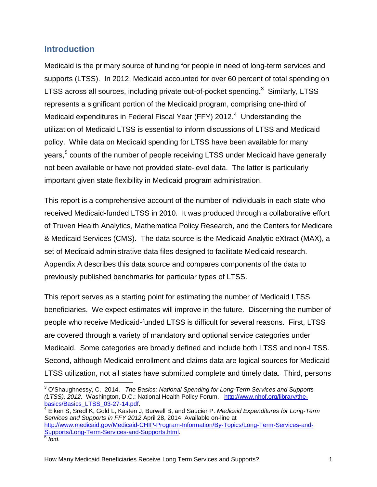#### <span id="page-5-0"></span>**Introduction**

Medicaid is the primary source of funding for people in need of long-term services and supports (LTSS). In 2012, Medicaid accounted for over 60 percent of total spending on LTSS across all sources, including private out-of-pocket spending.<sup>[3](#page-1-2)</sup> Similarly, LTSS represents a significant portion of the Medicaid program, comprising one-third of Medicaid expenditures in Federal Fiscal Year (FFY) 2012. $4$  Understanding the utilization of Medicaid LTSS is essential to inform discussions of LTSS and Medicaid policy. While data on Medicaid spending for LTSS have been available for many years,<sup>[5](#page-5-2)</sup> counts of the number of people receiving LTSS under Medicaid have generally not been available or have not provided state-level data. The latter is particularly important given state flexibility in Medicaid program administration.

This report is a comprehensive account of the number of individuals in each state who received Medicaid-funded LTSS in 2010. It was produced through a collaborative effort of Truven Health Analytics, Mathematica Policy Research, and the Centers for Medicare & Medicaid Services (CMS). The data source is the Medicaid Analytic eXtract (MAX), a set of Medicaid administrative data files designed to facilitate Medicaid research. Appendix A describes this data source and compares components of the data to previously published benchmarks for particular types of LTSS.

This report serves as a starting point for estimating the number of Medicaid LTSS beneficiaries. We expect estimates will improve in the future. Discerning the number of people who receive Medicaid-funded LTSS is difficult for several reasons. First, LTSS are covered through a variety of mandatory and optional service categories under Medicaid. Some categories are broadly defined and include both LTSS and non-LTSS. Second, although Medicaid enrollment and claims data are logical sources for Medicaid LTSS utilization, not all states have submitted complete and timely data. Third, persons

<span id="page-5-2"></span>How Many Medicaid Beneficiaries Receive Long Term Services and Supports? 1

<span id="page-5-3"></span> $\overline{a}$ <sup>3</sup> O'Shaughnessy, C. 2014. *The Basics: National Spending for Long-Term Services and Supports (LTSS), 2012.* Washington, D.C.: National Health Policy Forum. http://www.nhpf.org/library/the-<br>basics/Basics\_LTSS\_03-27-14.pdf.

<span id="page-5-1"></span><sup>&</sup>lt;sup>[4](http://www.nhpf.org/library/the-basics/Basics_LTSS_03-27-14.pdf)</sup> Eiken S, Sredl K, Gold L, Kasten J, Burwell B, and Saucier P. *Medicaid Expenditures for Long-Term Services and Supports in FFY 2012* April 28, 2014. Available on-line at [http://www.medicaid.gov/Medicaid-CHIP-Program-Information/By-Topics/Long-Term-Services-and-](http://www.medicaid.gov/Medicaid-CHIP-Program-Information/By-Topics/Long-Term-Services-and-Supports/Long-Term-Services-and-Supports.html)[Supports/Long-Term-Services-and-Supports.html.](http://www.medicaid.gov/Medicaid-CHIP-Program-Information/By-Topics/Long-Term-Services-and-Supports/Long-Term-Services-and-Supports.html) <sup>5</sup> *Ibid.*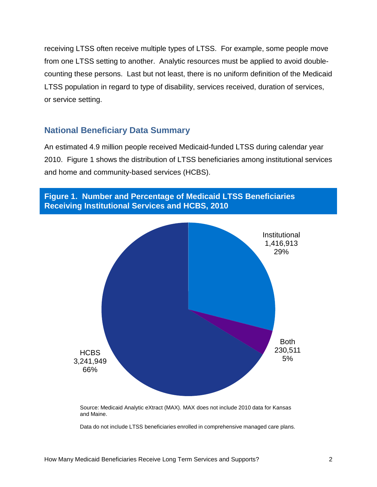receiving LTSS often receive multiple types of LTSS. For example, some people move from one LTSS setting to another. Analytic resources must be applied to avoid doublecounting these persons. Last but not least, there is no uniform definition of the Medicaid LTSS population in regard to type of disability, services received, duration of services, or service setting.

#### <span id="page-6-0"></span>**National Beneficiary Data Summary**

An estimated 4.9 million people received Medicaid-funded LTSS during calendar year 2010. Figure 1 shows the distribution of LTSS beneficiaries among institutional services and home and community-based services (HCBS).

<span id="page-6-1"></span>

Data do not include LTSS beneficiaries enrolled in comprehensive managed care plans.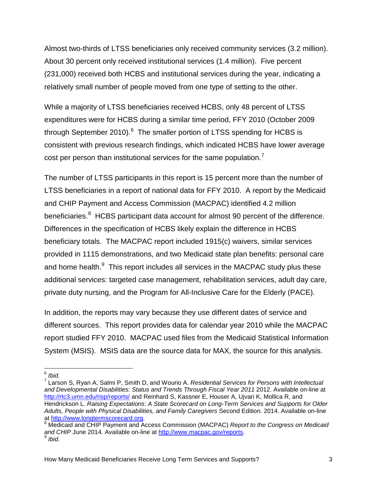Almost two-thirds of LTSS beneficiaries only received community services (3.2 million). About 30 percent only received institutional services (1.4 million). Five percent (231,000) received both HCBS and institutional services during the year, indicating a relatively small number of people moved from one type of setting to the other.

While a majority of LTSS beneficiaries received HCBS, only 48 percent of LTSS expenditures were for HCBS during a similar time period, FFY 2010 (October 2009 through September 2010).<sup>[6](#page-5-3)</sup> The smaller portion of LTSS spending for HCBS is consistent with previous research findings, which indicated HCBS have lower average cost per person than institutional services for the same population.<sup>[7](#page-7-0)</sup>

The number of LTSS participants in this report is 15 percent more than the number of LTSS beneficiaries in a report of national data for FFY 2010. A report by the Medicaid and CHIP Payment and Access Commission (MACPAC) identified 4.2 million beneficiaries.<sup>[8](#page-7-1)</sup> HCBS participant data account for almost 90 percent of the difference. Differences in the specification of HCBS likely explain the difference in HCBS beneficiary totals. The MACPAC report included 1915(c) waivers, similar services provided in 1115 demonstrations, and two Medicaid state plan benefits: personal care and home health.<sup>[9](#page-7-2)</sup> This report includes all services in the MACPAC study plus these additional services: targeted case management, rehabilitation services, adult day care, private duty nursing, and the Program for All-Inclusive Care for the Elderly (PACE).

In addition, the reports may vary because they use different dates of service and different sources. This report provides data for calendar year 2010 while the MACPAC report studied FFY 2010. MACPAC used files from the Medicaid Statistical Information System (MSIS). MSIS data are the source data for MAX, the source for this analysis.

How Many Medicaid Beneficiaries Receive Long Term Services and Supports? 3

 $6$  Ibid.

<span id="page-7-0"></span><sup>6</sup> *Ibid.*<sup>7</sup> Larson S, Ryan A, Salmi P, Smith D, and Wourio A. *Residential Services for Persons with Intellectual*  and Developmental Disabilities: Status and Trends Through Fiscal Year 2011 2012. Available on-line at <http://rtc3.umn.edu/risp/reports/> and Reinhard S, Kassner E, Houser A, Ujvari K, Mollica R, and Hendrickson L. *Raising Expectations: A State Scorecard on Long-Term Services and Supports for Older Adults, People with Physical Disabilities, and Family Caregivers* Second Edition. 2014. Available on-line

<span id="page-7-3"></span><span id="page-7-2"></span><span id="page-7-1"></span> $8$  Medicaid and CHIP Payment and Access Commission (MACPAC) *Report to the Congress on Medicaid* and CHIP June 2014. Available on-line at [http://www.macpac.gov/reports.](http://www.macpac.gov/reports) <sup>9</sup> *Ibid.*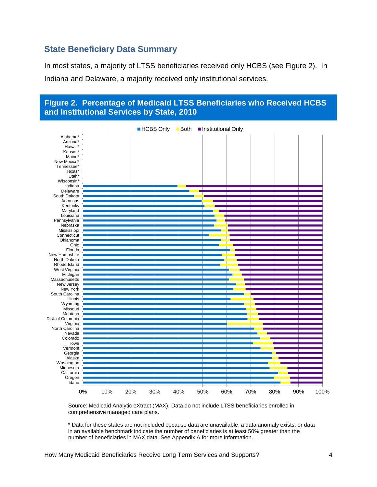#### <span id="page-8-0"></span>**State Beneficiary Data Summary**

In most states, a majority of LTSS beneficiaries received only HCBS (see Figure 2). In Indiana and Delaware, a majority received only institutional services.

<span id="page-8-1"></span>

Source: Medicaid Analytic eXtract (MAX). Data do not include LTSS beneficiaries enrolled in comprehensive managed care plans.

\* Data for these states are not included because data are unavailable, a data anomaly exists, or data in an available benchmark indicate the number of beneficiaries is at least 50% greater than the number of beneficiaries in MAX data. See Appendix A for more information.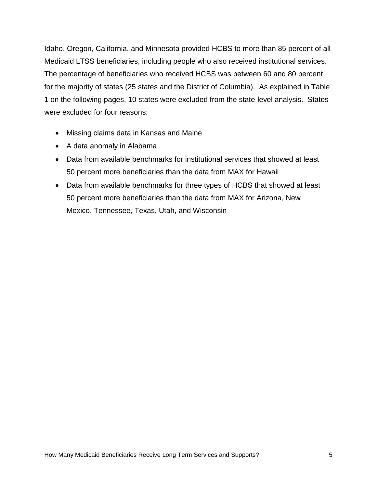Idaho, Oregon, California, and Minnesota provided HCBS to more than 85 percent of all Medicaid LTSS beneficiaries, including people who also received institutional services. The percentage of beneficiaries who received HCBS was between 60 and 80 percent for the majority of states (25 states and the District of Columbia). As explained in Table 1 on the following pages, 10 states were excluded from the state-level analysis. States were excluded for four reasons:

- Missing claims data in Kansas and Maine
- A data anomaly in Alabama
- Data from available benchmarks for institutional services that showed at least 50 percent more beneficiaries than the data from MAX for Hawaii
- Data from available benchmarks for three types of HCBS that showed at least 50 percent more beneficiaries than the data from MAX for Arizona, New Mexico, Tennessee, Texas, Utah, and Wisconsin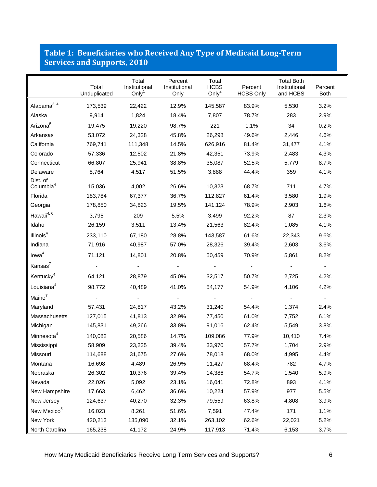#### <span id="page-10-0"></span>**Table 1: Beneficiaries who Received Any Type of Medicaid Long-Term Services and Supports, 2010**

|                                   | Total<br>Unduplicated | Total<br>Institutional<br>Only $1$ | Percent<br>Institutional<br>Only | Total<br><b>HCBS</b><br>Only <sup>2</sup> | Percent<br><b>HCBS Only</b> | <b>Total Both</b><br>Institutional<br>and HCBS | Percent<br><b>Both</b> |
|-----------------------------------|-----------------------|------------------------------------|----------------------------------|-------------------------------------------|-----------------------------|------------------------------------------------|------------------------|
| Alabama <sup>3, 4</sup>           | 173,539               | 22,422                             | 12.9%                            | 145,587                                   | 83.9%                       | 5,530                                          | 3.2%                   |
| Alaska                            | 9,914                 | 1,824                              | 18.4%                            | 7,807                                     | 78.7%                       | 283                                            | 2.9%                   |
| Arizona <sup>5</sup>              | 19,475                | 19,220                             | 98.7%                            | 221                                       | 1.1%                        | 34                                             | 0.2%                   |
| Arkansas                          | 53,072                | 24,328                             | 45.8%                            | 26,298                                    | 49.6%                       | 2,446                                          | 4.6%                   |
| California                        | 769,741               | 111,348                            | 14.5%                            | 626,916                                   | 81.4%                       | 31,477                                         | 4.1%                   |
| Colorado                          | 57,336                | 12,502                             | 21.8%                            | 42,351                                    | 73.9%                       | 2,483                                          | 4.3%                   |
| Connecticut                       | 66,807                | 25,941                             | 38.8%                            | 35,087                                    | 52.5%                       | 5,779                                          | 8.7%                   |
| Delaware                          | 8,764                 | 4,517                              | 51.5%                            | 3,888                                     | 44.4%                       | 359                                            | 4.1%                   |
| Dist. of<br>Columbia <sup>4</sup> | 15,036                | 4,002                              | 26.6%                            | 10,323                                    | 68.7%                       | 711                                            | 4.7%                   |
| Florida                           | 183,784               | 67,377                             | 36.7%                            | 112,827                                   | 61.4%                       | 3,580                                          | 1.9%                   |
| Georgia                           | 178,850               | 34,823                             | 19.5%                            | 141,124                                   | 78.9%                       | 2,903                                          | 1.6%                   |
| Hawaii4, 6                        | 3,795                 | 209                                | 5.5%                             | 3,499                                     | 92.2%                       | 87                                             | 2.3%                   |
| Idaho                             | 26,159                | 3,511                              | 13.4%                            | 21,563                                    | 82.4%                       | 1,085                                          | 4.1%                   |
| Illinois <sup>4</sup>             | 233,110               | 67,180                             | 28.8%                            | 143,587                                   | 61.6%                       | 22,343                                         | 9.6%                   |
| Indiana                           | 71,916                | 40,987                             | 57.0%                            | 28,326                                    | 39.4%                       | 2,603                                          | 3.6%                   |
| Iowa <sup>4</sup>                 | 71,121                | 14,801                             | 20.8%                            | 50,459                                    | 70.9%                       | 5,861                                          | 8.2%                   |
| Kansas <sup>7</sup>               |                       |                                    |                                  |                                           |                             |                                                |                        |
| Kentucky <sup>4</sup>             | 64,121                | 28,879                             | 45.0%                            | 32,517                                    | 50.7%                       | 2,725                                          | 4.2%                   |
| Louisiana <sup>4</sup>            | 98,772                | 40,489                             | 41.0%                            | 54,177                                    | 54.9%                       | 4,106                                          | 4.2%                   |
| Maine <sup>7</sup>                |                       |                                    |                                  |                                           |                             |                                                | $\blacksquare$         |
| Maryland                          | 57,431                | 24,817                             | 43.2%                            | 31,240                                    | 54.4%                       | 1,374                                          | 2.4%                   |
| Massachusetts                     | 127,015               | 41,813                             | 32.9%                            | 77,450                                    | 61.0%                       | 7,752                                          | 6.1%                   |
| Michigan                          | 145,831               | 49,266                             | 33.8%                            | 91,016                                    | 62.4%                       | 5,549                                          | 3.8%                   |
| Minnesota <sup>4</sup>            | 140,082               | 20,586                             | 14.7%                            | 109,086                                   | 77.9%                       | 10,410                                         | 7.4%                   |
| Mississippi                       | 58,909                | 23,235                             | 39.4%                            | 33,970                                    | 57.7%                       | 1,704                                          | 2.9%                   |
| Missouri                          | 114,688               | 31,675                             | 27.6%                            | 78,018                                    | 68.0%                       | 4,995                                          | 4.4%                   |
| Montana                           | 16,698                | 4,489                              | 26.9%                            | 11,427                                    | 68.4%                       | 782                                            | 4.7%                   |
| Nebraska                          | 26,302                | 10,376                             | 39.4%                            | 14,386                                    | 54.7%                       | 1,540                                          | 5.9%                   |
| Nevada                            | 22,026                | 5,092                              | 23.1%                            | 16,041                                    | 72.8%                       | 893                                            | 4.1%                   |
| New Hampshire                     | 17,663                | 6,462                              | 36.6%                            | 10,224                                    | 57.9%                       | 977                                            | 5.5%                   |
| New Jersey                        | 124,637               | 40,270                             | 32.3%                            | 79,559                                    | 63.8%                       | 4,808                                          | 3.9%                   |
| New Mexico <sup>5</sup>           | 16,023                | 8,261                              | 51.6%                            | 7,591                                     | 47.4%                       | 171                                            | 1.1%                   |
| New York                          | 420,213               | 135,090                            | 32.1%                            | 263,102                                   | 62.6%                       | 22,021                                         | 5.2%                   |
| North Carolina                    | 165,238               | 41,172                             | 24.9%                            | 117,913                                   | 71.4%                       | 6,153                                          | 3.7%                   |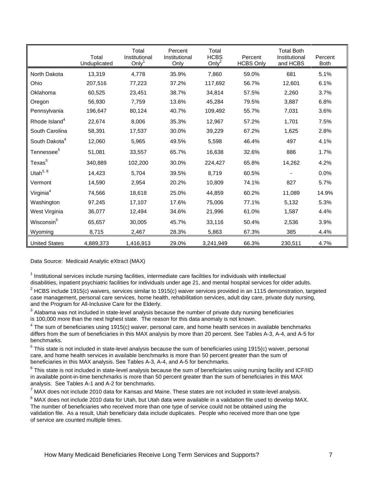|                           | Total<br>Unduplicated | Total<br>Institutional<br>Only $1$ | Percent<br>Institutional<br>Only | Total<br><b>HCBS</b><br>Only <sup>2</sup> | Percent<br><b>HCBS Only</b> | <b>Total Both</b><br>Institutional<br>and HCBS | Percent<br>Both |
|---------------------------|-----------------------|------------------------------------|----------------------------------|-------------------------------------------|-----------------------------|------------------------------------------------|-----------------|
| North Dakota              | 13,319                | 4,778                              | 35.9%                            | 7,860                                     | 59.0%                       | 681                                            | 5.1%            |
| Ohio                      | 207,516               | 77,223                             | 37.2%                            | 117,692                                   | 56.7%                       | 12,601                                         | 6.1%            |
| Oklahoma                  | 60,525                | 23,451                             | 38.7%                            | 34,814                                    | 57.5%                       | 2,260                                          | 3.7%            |
| Oregon                    | 56,930                | 7,759                              | 13.6%                            | 45,284                                    | 79.5%                       | 3,887                                          | 6.8%            |
| Pennsylvania              | 196,647               | 80,124                             | 40.7%                            | 109,492                                   | 55.7%                       | 7,031                                          | 3.6%            |
| Rhode Island <sup>4</sup> | 22,674                | 8,006                              | 35.3%                            | 12,967                                    | 57.2%                       | 1,701                                          | 7.5%            |
| South Carolina            | 58,391                | 17,537                             | 30.0%                            | 39,229                                    | 67.2%                       | 1,625                                          | 2.8%            |
| South Dakota <sup>4</sup> | 12,060                | 5,965                              | 49.5%                            | 5,598                                     | 46.4%                       | 497                                            | 4.1%            |
| Tennessee <sup>5</sup>    | 51,081                | 33,557                             | 65.7%                            | 16,638                                    | 32.6%                       | 886                                            | 1.7%            |
| Texas <sup>5</sup>        | 340,889               | 102,200                            | 30.0%                            | 224,427                                   | 65.8%                       | 14,262                                         | 4.2%            |
| Utah $5, 8$               | 14,423                | 5,704                              | 39.5%                            | 8,719                                     | 60.5%                       |                                                | 0.0%            |
| Vermont                   | 14,590                | 2,954                              | 20.2%                            | 10,809                                    | 74.1%                       | 827                                            | 5.7%            |
| Virginia <sup>4</sup>     | 74,566                | 18,618                             | 25.0%                            | 44,859                                    | 60.2%                       | 11,089                                         | 14.9%           |
| Washington                | 97,245                | 17,107                             | 17.6%                            | 75,006                                    | 77.1%                       | 5,132                                          | 5.3%            |
| West Virginia             | 36,077                | 12,494                             | 34.6%                            | 21,996                                    | 61.0%                       | 1,587                                          | 4.4%            |
| Wisconsin <sup>5</sup>    | 65,657                | 30,005                             | 45.7%                            | 33,116                                    | 50.4%                       | 2,536                                          | 3.9%            |
| Wyoming                   | 8,715                 | 2,467                              | 28.3%                            | 5,863                                     | 67.3%                       | 385                                            | 4.4%            |
| <b>United States</b>      | 4,889,373             | 1,416,913                          | 29.0%                            | 3,241,949                                 | 66.3%                       | 230,511                                        | 4.7%            |

Data Source: Medicaid Analytic eXtract (MAX)

 $<sup>1</sup>$  Institutional services include nursing facilities, intermediate care facilities for individuals with intellectual</sup> disabilities, inpatient psychiatric facilities for individuals under age 21, and mental hospital services for older adults.

 $2$  HCBS include 1915(c) waivers, services similar to 1915(c) waiver services provided in an 1115 demonstration, targeted case management, personal care services, home health, rehabilitation services, adult day care, private duty nursing, and the Program for All-Inclusive Care for the Elderly.

 $3$  Alabama was not included in state-level analysis because the number of private duty nursing beneficiaries is 100,000 more than the next highest state. The reason for this data anomaly is not known.

 $<sup>4</sup>$  The sum of beneficiaries using 1915(c) waiver, personal care, and home health services in available benchmarks</sup> differs from the sum of beneficiaries in this MAX analysis by more than 20 percent. See Tables A-3, A-4, and A-5 for benchmarks.

 $5$  This state is not included in state-level analysis because the sum of beneficiaries using 1915(c) waiver, personal care, and home health services in available benchmarks is more than 50 percent greater than the sum of beneficiaries in this MAX analysis. See Tables A-3, A-4, and A-5 for benchmarks.

 $6$  This state is not included in state-level analysis because the sum of beneficiaries using nursing facility and ICF/IID in available point-in-time benchmarks is more than 50 percent greater than the sum of beneficiaries in this MAX<br>analysis. See Tables A-1 and A-2 for benchmarks.

 $^7$  MAX does not include 2010 data for Kansas and Maine. These states are not included in state-level analysis.<br> $^8$  MAX does not include 2010 data for Utah, but Utah data were available in a validation file used to deve

The number of beneficiaries who received more than one type of service could not be obtained using the validation file. As a result, Utah beneficiary data include duplicates. People who received more than one type of service are counted multiple times.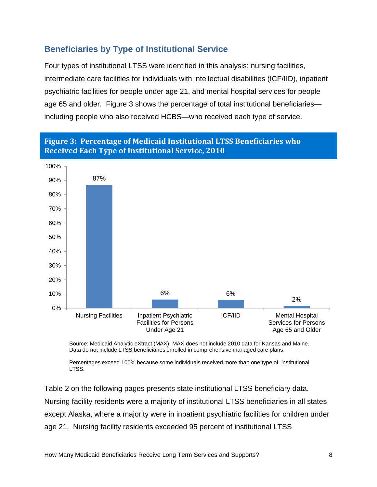# <span id="page-12-0"></span>**Beneficiaries by Type of Institutional Service**

Four types of institutional LTSS were identified in this analysis: nursing facilities, intermediate care facilities for individuals with intellectual disabilities (ICF/IID), inpatient psychiatric facilities for people under age 21, and mental hospital services for people age 65 and older. Figure 3 shows the percentage of total institutional beneficiaries including people who also received HCBS—who received each type of service.

<span id="page-12-1"></span>



Source: Medicaid Analytic eXtract (MAX). MAX does not include 2010 data for Kansas and Maine. Data do not include LTSS beneficiaries enrolled in comprehensive managed care plans.

Percentages exceed 100% because some individuals received more than one type of institutional LTSS.

Table 2 on the following pages presents state institutional LTSS beneficiary data. Nursing facility residents were a majority of institutional LTSS beneficiaries in all states except Alaska, where a majority were in inpatient psychiatric facilities for children under age 21. Nursing facility residents exceeded 95 percent of institutional LTSS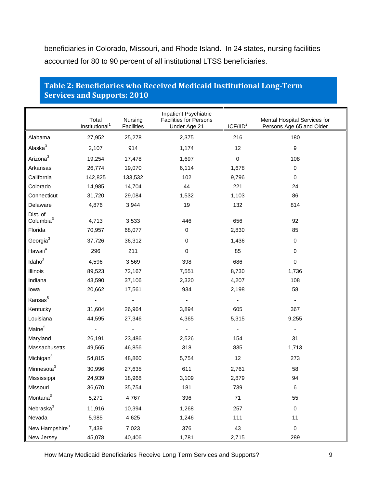beneficiaries in Colorado, Missouri, and Rhode Island. In 24 states, nursing facilities accounted for 80 to 90 percent of all institutional LTSS beneficiaries.

|                                   | Total<br>Institutional <sup>1</sup> | Nursing<br><b>Facilities</b> | Inpatient Psychiatric<br><b>Facilities for Persons</b><br>Under Age 21 | ICF/IID <sup>2</sup>     | Mental Hospital Services for<br>Persons Age 65 and Older |
|-----------------------------------|-------------------------------------|------------------------------|------------------------------------------------------------------------|--------------------------|----------------------------------------------------------|
| Alabama                           | 27,952                              | 25,278                       | 2,375                                                                  | 216                      | 180                                                      |
| Alaska <sup>3</sup>               | 2,107                               | 914                          | 1,174                                                                  | 12                       | $\boldsymbol{9}$                                         |
| Arizona <sup>3</sup>              | 19,254                              | 17,478                       | 1,697                                                                  | $\pmb{0}$                | 108                                                      |
| Arkansas                          | 26,774                              | 19,070                       | 6,114                                                                  | 1,678                    | $\mathbf 0$                                              |
| California                        | 142,825                             | 133,532                      | 102                                                                    | 9,796                    | $\mathbf 0$                                              |
| Colorado                          | 14,985                              | 14,704                       | 44                                                                     | 221                      | 24                                                       |
| Connecticut                       | 31,720                              | 29,084                       | 1,532                                                                  | 1,103                    | 86                                                       |
| Delaware                          | 4,876                               | 3,944                        | 19                                                                     | 132                      | 814                                                      |
| Dist. of<br>Columbia <sup>3</sup> | 4,713                               | 3,533                        | 446                                                                    | 656                      | 92                                                       |
| Florida                           | 70,957                              | 68,077                       | $\pmb{0}$                                                              | 2,830                    | 85                                                       |
| Georgia $3$                       | 37,726                              | 36,312                       | $\mathbf 0$                                                            | 1,436                    | $\mathbf 0$                                              |
| Hawaii <sup>4</sup>               | 296                                 | 211                          | $\pmb{0}$                                                              | 85                       | 0                                                        |
| Idaho $3$                         | 4,596                               | 3,569                        | 398                                                                    | 686                      | 0                                                        |
| Illinois                          | 89,523                              | 72,167                       | 7,551                                                                  | 8,730                    | 1,736                                                    |
| Indiana                           | 43,590                              | 37,106                       | 2,320                                                                  | 4,207                    | 108                                                      |
| lowa                              | 20,662                              | 17,561                       | 934                                                                    | 2,198                    | 58                                                       |
| Kansas <sup>5</sup>               |                                     |                              |                                                                        | ÷,                       |                                                          |
| Kentucky                          | 31,604                              | 26,964                       | 3,894                                                                  | 605                      | 367                                                      |
| Louisiana                         | 44,595                              | 27,346                       | 4,365                                                                  | 5,315                    | 9,255                                                    |
| Maine <sup>5</sup>                |                                     |                              |                                                                        | $\overline{\phantom{a}}$ | $\overline{\phantom{a}}$                                 |
| Maryland                          | 26,191                              | 23,486                       | 2,526                                                                  | 154                      | 31                                                       |
| Massachusetts                     | 49,565                              | 46,856                       | 318                                                                    | 835                      | 1,713                                                    |
| Michigan <sup>3</sup>             | 54,815                              | 48,860                       | 5,754                                                                  | 12                       | 273                                                      |
| Minnesota <sup>3</sup>            | 30,996                              | 27,635                       | 611                                                                    | 2,761                    | 58                                                       |
| Mississippi                       | 24,939                              | 18,968                       | 3,109                                                                  | 2,879                    | 94                                                       |
| Missouri                          | 36,670                              | 35,754                       | 181                                                                    | 739                      | 6                                                        |
| Montana <sup>3</sup>              | 5,271                               | 4,767                        | 396                                                                    | 71                       | 55                                                       |
| Nebraska <sup>3</sup>             | 11,916                              | 10,394                       | 1,268                                                                  | 257                      | $\pmb{0}$                                                |
| Nevada                            | 5,985                               | 4,625                        | 1,246                                                                  | 111                      | 11                                                       |
| New Hampshire <sup>3</sup>        | 7,439                               | 7,023                        | 376                                                                    | 43                       | $\pmb{0}$                                                |
| New Jersey                        | 45,078                              | 40,406                       | 1,781                                                                  | 2,715                    | 289                                                      |

#### <span id="page-13-0"></span>**Table 2: Beneficiaries who Received Medicaid Institutional Long-Term Services and Supports: 2010**

How Many Medicaid Beneficiaries Receive Long Term Services and Supports? 9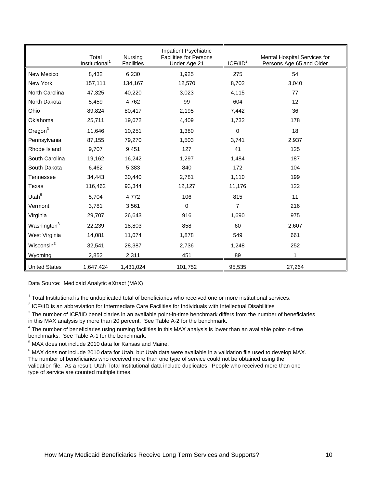|                         | Total<br>Institutional <sup>1</sup> | Nursing<br><b>Facilities</b> | Inpatient Psychiatric<br><b>Facilities for Persons</b><br>Under Age 21 | ICF/IID <sup>2</sup> | Mental Hospital Services for<br>Persons Age 65 and Older |
|-------------------------|-------------------------------------|------------------------------|------------------------------------------------------------------------|----------------------|----------------------------------------------------------|
| New Mexico              | 8,432                               | 6,230                        | 1,925                                                                  | 275                  | 54                                                       |
| New York                | 157,111                             | 134,167                      | 12,570                                                                 | 8,702                | 3,040                                                    |
| North Carolina          | 47,325                              | 40,220                       | 3,023                                                                  | 4,115                | 77                                                       |
| North Dakota            | 5,459                               | 4,762                        | 99                                                                     | 604                  | 12                                                       |
| Ohio                    | 89,824                              | 80,417                       | 2,195                                                                  | 7,442                | 36                                                       |
| Oklahoma                | 25,711                              | 19,672                       | 4,409                                                                  | 1,732                | 178                                                      |
| $O$ regon $3$           | 11,646                              | 10,251                       | 1,380                                                                  | $\mathbf 0$          | 18                                                       |
| Pennsylvania            | 87,155                              | 79,270                       | 1,503                                                                  | 3,741                | 2,937                                                    |
| Rhode Island            | 9,707                               | 9,451                        | 127                                                                    | 41                   | 125                                                      |
| South Carolina          | 19,162                              | 16,242                       | 1,297                                                                  | 1,484                | 187                                                      |
| South Dakota            | 6,462                               | 5,383                        | 840                                                                    | 172                  | 104                                                      |
| Tennessee               | 34,443                              | 30,440                       | 2,781                                                                  | 1,110                | 199                                                      |
| Texas                   | 116,462                             | 93,344                       | 12,127                                                                 | 11,176               | 122                                                      |
| Utah <sup>6</sup>       | 5,704                               | 4,772                        | 106                                                                    | 815                  | 11                                                       |
| Vermont                 | 3,781                               | 3,561                        | $\Omega$                                                               | 7                    | 216                                                      |
| Virginia                | 29,707                              | 26,643                       | 916                                                                    | 1,690                | 975                                                      |
| Washington <sup>3</sup> | 22,239                              | 18,803                       | 858                                                                    | 60                   | 2,607                                                    |
| West Virginia           | 14,081                              | 11,074                       | 1,878                                                                  | 549                  | 661                                                      |
| Wisconsin <sup>3</sup>  | 32,541                              | 28,387                       | 2,736                                                                  | 1,248                | 252                                                      |
| Wyoming                 | 2,852                               | 2,311                        | 451                                                                    | 89                   |                                                          |
| <b>United States</b>    | 1,647,424                           | 1,431,024                    | 101,752                                                                | 95,535               | 27,264                                                   |

Data Source: Medicaid Analytic eXtract (MAX)

 $1$  Total Institutional is the unduplicated total of beneficiaries who received one or more institutional services.

 $2$  ICF/IID is an abbreviation for Intermediate Care Facilities for Individuals with Intellectual Disabilities

 $3$  The number of ICF/IID beneficiaries in an available point-in-time benchmark differs from the number of beneficiaries in this MAX analysis by more than 20 percent. See Table A-2 for the benchmark.

<sup>4</sup> The number of beneficiaries using nursing facilities in this MAX analysis is lower than an available point-in-time benchmarks. See Table A-1 for the benchmark.

 $5$  MAX does not include 2010 data for Kansas and Maine.

 $6$  MAX does not include 2010 data for Utah, but Utah data were available in a validation file used to develop MAX. The number of beneficiaries who received more than one type of service could not be obtained using the validation file. As a result, Utah Total Institutional data include duplicates. People who received more than one type of service are counted multiple times.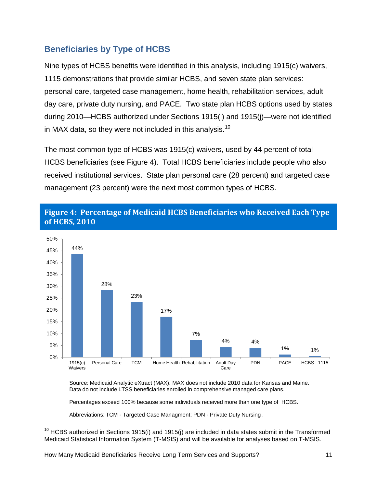# <span id="page-15-0"></span>**Beneficiaries by Type of HCBS**

Nine types of HCBS benefits were identified in this analysis, including 1915(c) waivers, 1115 demonstrations that provide similar HCBS, and seven state plan services: personal care, targeted case management, home health, rehabilitation services, adult day care, private duty nursing, and PACE. Two state plan HCBS options used by states during 2010—HCBS authorized under Sections 1915(i) and 1915(j)—were not identified in MAX data, so they were not included in this analysis.<sup>[10](#page-7-3)</sup>

The most common type of HCBS was 1915(c) waivers, used by 44 percent of total HCBS beneficiaries (see Figure 4). Total HCBS beneficiaries include people who also received institutional services. State plan personal care (28 percent) and targeted case management (23 percent) were the next most common types of HCBS.



# <span id="page-15-1"></span>**Figure 4: Percentage of Medicaid HCBS Beneficiaries who Received Each Type of HCBS, 2010**

Source: Medicaid Analytic eXtract (MAX). MAX does not include 2010 data for Kansas and Maine. Data do not include LTSS beneficiaries enrolled in comprehensive managed care plans.

Percentages exceed 100% because some individuals received more than one type of HCBS.

Abbreviations: TCM - Targeted Case Managment; PDN - Private Duty Nursing .

<span id="page-15-2"></span> $\overline{\phantom{a}}$ 

 $10$  HCBS authorized in Sections 1915(i) and 1915(j) are included in data states submit in the Transformed Medicaid Statistical Information System (T-MSIS) and will be available for analyses based on T-MSIS.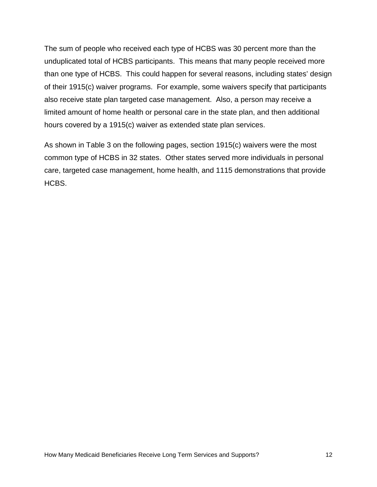The sum of people who received each type of HCBS was 30 percent more than the unduplicated total of HCBS participants. This means that many people received more than one type of HCBS. This could happen for several reasons, including states' design of their 1915(c) waiver programs. For example, some waivers specify that participants also receive state plan targeted case management. Also, a person may receive a limited amount of home health or personal care in the state plan, and then additional hours covered by a 1915(c) waiver as extended state plan services.

As shown in Table 3 on the following pages, section 1915(c) waivers were the most common type of HCBS in 32 states. Other states served more individuals in personal care, targeted case management, home health, and 1115 demonstrations that provide HCBS.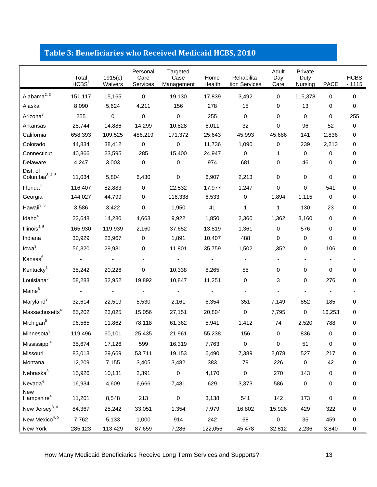# <span id="page-17-0"></span>**Table 3: Beneficiaries who Received Medicaid HCBS, 2010**

|                                   | Total<br>HCBS <sup>1</sup> | 1915(c)<br>Waivers | Personal<br>Care<br>Services | Targeted<br>Case<br>Management | Home<br>Health | Rehabilita-<br>tion Services | Adult<br>Day<br>Care | Private<br>Duty<br>Nursing | <b>PACE</b> | <b>HCBS</b><br>$-1115$ |
|-----------------------------------|----------------------------|--------------------|------------------------------|--------------------------------|----------------|------------------------------|----------------------|----------------------------|-------------|------------------------|
| Alabama $^{2, 3}$                 | 151,117                    | 15,165             | $\mathbf 0$                  | 19,130                         | 17,839         | 3,492                        | 0                    | 115,378                    | 0           | 0                      |
| Alaska                            | 8,090                      | 5,624              | 4,211                        | 156                            | 278            | 15                           | 0                    | 13                         | 0           | 0                      |
| Arizona <sup>3</sup>              | 255                        | 0                  | $\mathbf 0$                  | $\pmb{0}$                      | 255            | $\mathbf 0$                  | 0                    | 0                          | 0           | 255                    |
| Arkansas                          | 28,744                     | 14,886             | 14,299                       | 10,828                         | 6,011          | 32                           | 0                    | 96                         | 52          | 0                      |
| California                        | 658,393                    | 109,525            | 486,219                      | 171,372                        | 25,643         | 45,993                       | 45,686               | 141                        | 2,836       | 0                      |
| Colorado                          | 44,834                     | 38,412             | 0                            | 0                              | 11,736         | 1,090                        | 0                    | 239                        | 2,213       | 0                      |
| Connecticut                       | 40,866                     | 23,595             | 285                          | 15,400                         | 24,947         | 0                            | 1                    | 0                          | 0           | 0                      |
| Delaware                          | 4,247                      | 3,003              | $\mathbf 0$                  | $\mathbf 0$                    | 974            | 681                          | 0                    | 46                         | 0           | 0                      |
| Dist. of<br>Columbia $^{3, 4, 5}$ | 11,034                     | 5,804              | 6,430                        | $\pmb{0}$                      | 6,907          | 2,213                        | 0                    | 0                          | 0           | 0                      |
| Florida <sup>4</sup>              | 116,407                    | 82,883             | $\mathbf 0$                  | 22,532                         | 17,977         | 1,247                        | 0                    | 0                          | 541         | 0                      |
| Georgia                           | 144,027                    | 44,799             | 0                            | 116,338                        | 6,533          | $\mathbf 0$                  | 1,894                | 1,115                      | 0           | 0                      |
| Hawaii <sup>3, 5</sup>            | 3,586                      | 3,422              | $\mathbf 0$                  | 1,950                          | 41             | $\mathbf{1}$                 | 1                    | 130                        | 23          | 0                      |
| Idaho <sup>4</sup>                | 22,648                     | 14,280             | 4,663                        | 9,922                          | 1,850          | 2,360                        | 1,362                | 3,160                      | 0           | 0                      |
| Illinois $4, 5$                   | 165,930                    | 119,939            | 2,160                        | 37,652                         | 13,819         | 1,361                        | $\mathbf 0$          | 576                        | 0           | 0                      |
| Indiana                           | 30,929                     | 23,967             | 0                            | 1,891                          | 10,407         | 488                          | 0                    | 0                          | 0           | 0                      |
| Iowa <sup>3</sup>                 | 56,320                     | 29,931             | 0                            | 11,801                         | 35,759         | 1,502                        | 1,352                | 0                          | 106         | 0                      |
| Kansas <sup>6</sup>               |                            |                    |                              |                                |                |                              |                      |                            |             |                        |
| Kentucky <sup>3</sup>             | 35,242                     | 20,226             | 0                            | 10,338                         | 8,265          | 55                           | 0                    | 0                          | 0           | 0                      |
| Louisiana <sup>5</sup>            | 58,283                     | 32,952             | 19,892                       | 10,847                         | 11,251         | 0                            | 3                    | 0                          | 276         | 0                      |
| Maine <sup>6</sup>                |                            |                    |                              |                                |                |                              |                      |                            |             |                        |
| Maryland <sup>3</sup>             | 32,614                     | 22,519             | 5,530                        | 2,161                          | 6,354          | 351                          | 7,149                | 852                        | 185         | 0                      |
| Massachusetts <sup>4</sup>        | 85,202                     | 23,025             | 15,056                       | 27,151                         | 20,804         | 0                            | 7,795                | 0                          | 16,253      | 0                      |
| Michigan <sup>5</sup>             | 96,565                     | 11,862             | 78,118                       | 61,362                         | 5,941          | 1,412                        | 74                   | 2,520                      | 788         | 0                      |
| Minnesota <sup>3</sup>            | 119,496                    | 60,101             | 25,435                       | 21,961                         | 55,238         | 156                          | 0                    | 836                        | 0           | 0                      |
| Mississippi <sup>4</sup>          | 35,674                     | 17,126             | 599                          | 16,319                         | 7,763          | 0                            | $\pmb{0}$            | 51                         | 0           | 0                      |
| Missouri                          | 83,013                     | 29,669             | 53,711                       | 19,153                         | 6,490          | 7,389                        | 2,078                | 527                        | 217         | 0                      |
| Montana                           | 12,209                     | 7,155              | 3,405                        | 3,482                          | 383            | 79                           | 226                  | 0                          | 42          | 0                      |
| Nebraska <sup>3</sup>             | 15,926                     | 10,131             | 2,391                        | 0                              | 4,170          | $\mathsf{O}\xspace$          | 270                  | 143                        | 0           | 0                      |
| $N$ evada $4$                     | 16,934                     | 4,609              | 6,666                        | 7,481                          | 629            | 3,373                        | 586                  | $\pmb{0}$                  | 0           | 0                      |
| New<br>Hampshire <sup>4</sup>     | 11,201                     | 8,548              | 213                          | $\mathbf 0$                    | 3,138          | 541                          | 142                  | 173                        | 0           | $\pmb{0}$              |
| New Jersey <sup>3, 4</sup>        | 84,367                     | 25,242             | 33,051                       | 1,354                          | 7,979          | 16,802                       | 15,926               | 429                        | 322         | $\pmb{0}$              |
| New Mexico <sup>4, 5</sup>        | 7,762                      | 5,133              | 1,000                        | 914                            | 242            | 68                           | $\pmb{0}$            | 35                         | 459         | $\pmb{0}$              |
| New York                          | 285,123                    | 113,429            | 87,659                       | 7,286                          | 122,056        | 45,478                       | 32,812               | 2,236                      | 3,840       | 0                      |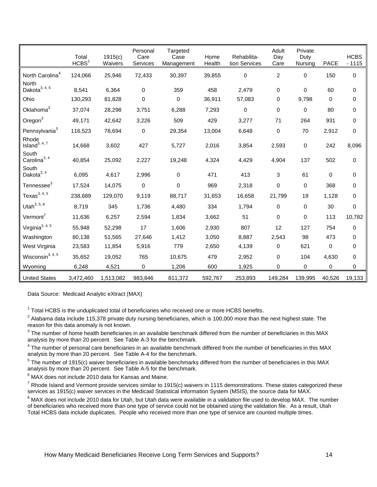|                                    | Total<br>HCBS <sup>1</sup> | 1915(c)<br>Waivers | Personal<br>Care<br>Services | Targeted<br>Case<br>Management | Home<br>Health | Rehabilita-<br>tion Services | Adult<br>Day<br>Care | Private<br>Duty<br>Nursing | <b>PACE</b> | <b>HCBS</b><br>$-1115$ |
|------------------------------------|----------------------------|--------------------|------------------------------|--------------------------------|----------------|------------------------------|----------------------|----------------------------|-------------|------------------------|
| North Carolina <sup>4</sup>        | 124,066                    | 25,946             | 72,433                       | 30,397                         | 39,855         | $\pmb{0}$                    | $\sqrt{2}$           | $\mathbf 0$                | 150         | 0                      |
| North<br>Dakota $3, 4, 5$          | 8,541                      | 6,364              | $\mathbf 0$                  | 359                            | 458            | 2,479                        | 0                    | 0                          | 60          | 0                      |
| Ohio                               | 130,293                    | 81,828             | $\mathbf 0$                  | 0                              | 36,911         | 57,083                       | 0                    | 9,798                      | 0           | 0                      |
| Oklahoma <sup>3</sup>              | 37,074                     | 28,298             | 3,751                        | 6,288                          | 7,293          | $\pmb{0}$                    | $\mathbf 0$          | $\mathbf 0$                | 80          | 0                      |
| $O$ regon $3$                      | 49,171                     | 42,642             | 3,226                        | 509                            | 429            | 3,277                        | 71                   | 264                        | 931         | 0                      |
| Pennsylvania <sup>3</sup>          | 116,523                    | 78,694             | $\pmb{0}$                    | 29,354                         | 13,004         | 6,648                        | $\pmb{0}$            | 70                         | 2,912       | 0                      |
| Rhode<br>Island <sup>3, 4, 7</sup> | 14,668                     | 3,602              | 427                          | 5,727                          | 2,016          | 3,854                        | 2,593                | $\pmb{0}$                  | 242         | 8,096                  |
| South<br>Carolina $3, 4$           | 40,854                     | 25,092             | 2,227                        | 19,248                         | 4,324          | 4,429                        | 4,904                | 137                        | 502         | 0                      |
| South<br>Dakota $3, 4$             | 6,095                      | 4,617              | 2,996                        | $\mathbf 0$                    | 471            | 413                          | 3                    | 61                         | 0           | 0                      |
| Tennessee <sup>3</sup>             | 17,524                     | 14,075             | $\mathbf 0$                  | 0                              | 969            | 2,318                        | $\mathsf 0$          | $\mathbf 0$                | 368         | 0                      |
| Texas $^{3, 4, 5}$                 | 238,689                    | 129,070            | 9,119                        | 88,717                         | 31,653         | 16,658                       | 21,799               | 19                         | 1,128       | 0                      |
| Utah $^{3, 5, 8}$                  | 8,719                      | 345                | 1,736                        | 4,480                          | 334            | 1,794                        | $\mathbf 0$          | 0                          | 30          | 0                      |
| Vermont <sup>7</sup>               | 11,636                     | 6,257              | 2,594                        | 1,834                          | 3,662          | 51                           | $\mathbf 0$          | 0                          | 113         | 10,782                 |
| Virginia <sup>3, 4, 5</sup>        | 55,948                     | 52,298             | 17                           | 1,606                          | 2,930          | 807                          | 12                   | 127                        | 754         | 0                      |
| Washington                         | 80,138                     | 51,565             | 27,646                       | 1,412                          | 3,050          | 8,887                        | 2,543                | 98                         | 473         | 0                      |
| West Virginia                      | 23,583                     | 11,854             | 5,916                        | 779                            | 2,650          | 4,139                        | $\mathbf 0$          | 621                        | 0           | 0                      |
| Wisconsin $^{3, 4, 5}$             | 35,652                     | 19,052             | 765                          | 10,675                         | 479            | 2,952                        | $\mathbf 0$          | 104                        | 4,630       | 0                      |
| Wyoming                            | 6,248                      | 4,521              | $\mathbf 0$                  | 1,206                          | 600            | 1,925                        | 0                    | $\mathbf 0$                | 0           | 0                      |
| <b>United States</b>               | 3,472,460                  | 1,513,082          | 983,846                      | 811,372                        | 592,767        | 253,893                      | 149,284              | 139,995                    | 40,526      | 19,133                 |

Data Source: Medicaid Analytic eXtract (MAX)

 $<sup>1</sup>$  Total HCBS is the unduplicated total of beneficiaries who received one or more HCBS benefits.</sup>

 $2$  Alabama data include 115,378 private duty nursing beneficiaries, which is 100,000 more than the next highest state. The reason for this data anomaly is not known.

 $3$  The number of home health beneficiaries in an available benchmark differed from the number of beneficiaries in this MAX analysis by more than 20 percent. See Table A-3 for the benchmark.

 $4$  The number of personal care beneficiaries in an available benchmark differed from the number of beneficiaries in this MAX analysis by more than 20 percent. See Table A-4 for the benchmark.

 $5$  The number of 1915(c) waiver beneficiaries in available benchmarks differed from the number of beneficiaries in this MAX analysis by more than 20 percent. See Table A-5 for the benchmark.

 $^6$  MAX does not include 2010 data for Kansas and Maine.<br><sup>7</sup> Rhode Island and Vermont provide services similar to 1915(c) waivers in 1115 demonstrations. These states categorized these services as 1915(c) waiver services in the Medicaid Statistical Information System (MSIS), the source data for MAX.

<sup>8</sup> MAX does not include 2010 data for Utah, but Utah data were available in a validation file used to develop MAX. The number of beneficiaries who received more than one type of service could not be obtained using the validation file. As a result, Utah Total HCBS data include duplicates. People who received more than one type of service are counted multiple times.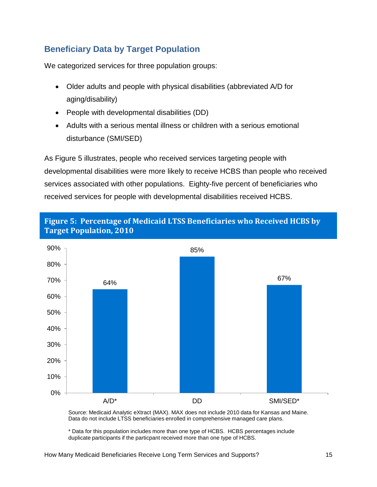# <span id="page-19-0"></span>**Beneficiary Data by Target Population**

We categorized services for three population groups:

- Older adults and people with physical disabilities (abbreviated A/D for aging/disability)
- People with developmental disabilities (DD)
- Adults with a serious mental illness or children with a serious emotional disturbance (SMI/SED)

As Figure 5 illustrates, people who received services targeting people with developmental disabilities were more likely to receive HCBS than people who received services associated with other populations. Eighty-five percent of beneficiaries who received services for people with developmental disabilities received HCBS.



<span id="page-19-1"></span>**Figure 5: Percentage of Medicaid LTSS Beneficiaries who Received HCBS by Target Population, 2010** 

Source: Medicaid Analytic eXtract (MAX). MAX does not include 2010 data for Kansas and Maine. Data do not include LTSS beneficiaries enrolled in comprehensive managed care plans.

\* Data for this population includes more than one type of HCBS. HCBS percentages include duplicate participants if the particpant received more than one type of HCBS.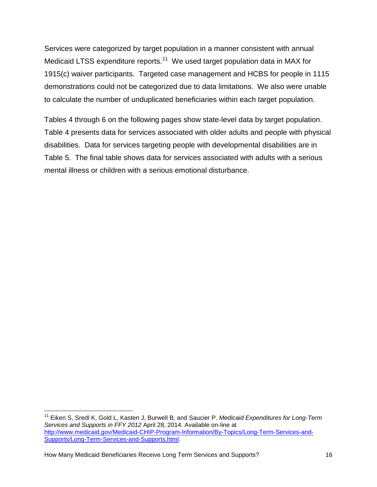Services were categorized by target population in a manner consistent with annual Medicaid LTSS expenditure reports.<sup>11</sup> We used target population data in MAX for 1915(c) waiver participants. Targeted case management and HCBS for people in 1115 demonstrations could not be categorized due to data limitations. We also were unable to calculate the number of unduplicated beneficiaries within each target population.

Tables 4 through 6 on the following pages show state-level data by target population. Table 4 presents data for services associated with older adults and people with physical disabilities. Data for services targeting people with developmental disabilities are in Table 5. The final table shows data for services associated with adults with a serious mental illness or children with a serious emotional disturbance.

<span id="page-20-0"></span> $\overline{\phantom{a}}$ 

<sup>11</sup> Eiken S, Sredl K, Gold L, Kasten J, Burwell B, and Saucier P. *Medicaid Expenditures for Long-Term Services and Supports in FFY 2012* April 28, 2014. Available on-line at [http://www.medicaid.gov/Medicaid-CHIP-Program-Information/By-Topics/Long-Term-Services-and-](http://www.medicaid.gov/Medicaid-CHIP-Program-Information/By-Topics/Long-Term-Services-and-Supports/Long-Term-Services-and-Supports.html)[Supports/Long-Term-Services-and-Supports.html.](http://www.medicaid.gov/Medicaid-CHIP-Program-Information/By-Topics/Long-Term-Services-and-Supports/Long-Term-Services-and-Supports.html)

How Many Medicaid Beneficiaries Receive Long Term Services and Supports? 16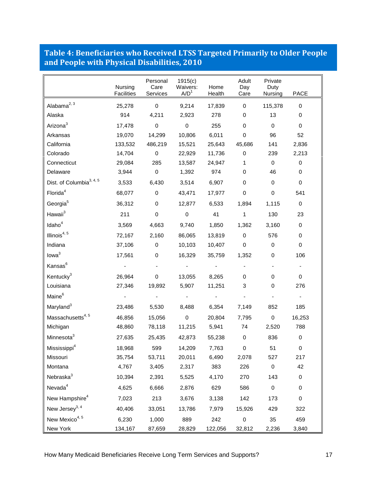#### <span id="page-21-0"></span>**Table 4: Beneficiaries who Received LTSS Targeted Primarily to Older People and People with Physical Disabilities, 2010**

|                                      | Nursing<br>Facilities | Personal<br>Care<br>Services | 1915(c)<br>Waivers:<br>A/D <sup>1</sup> | Home<br>Health | Adult<br>Day<br>Care | Private<br>Duty<br>Nursing | <b>PACE</b> |
|--------------------------------------|-----------------------|------------------------------|-----------------------------------------|----------------|----------------------|----------------------------|-------------|
| Alabama <sup>2, 3</sup>              | 25,278                | $\mathsf 0$                  | 9,214                                   | 17,839         | $\mathbf 0$          | 115,378                    | $\mathbf 0$ |
| Alaska                               | 914                   | 4,211                        | 2,923                                   | 278            | 0                    | 13                         | 0           |
| Arizona <sup>3</sup>                 | 17,478                | $\mathsf 0$                  | $\pmb{0}$                               | 255            | $\mathbf 0$          | $\mathbf 0$                | $\mathbf 0$ |
| Arkansas                             | 19,070                | 14,299                       | 10,806                                  | 6,011          | $\pmb{0}$            | 96                         | 52          |
| California                           | 133,532               | 486,219                      | 15,521                                  | 25,643         | 45,686               | 141                        | 2,836       |
| Colorado                             | 14,704                | 0                            | 22,929                                  | 11,736         | $\pmb{0}$            | 239                        | 2,213       |
| Connecticut                          | 29,084                | 285                          | 13,587                                  | 24,947         | 1                    | 0                          | 0           |
| Delaware                             | 3,944                 | $\pmb{0}$                    | 1,392                                   | 974            | $\mathbf 0$          | 46                         | 0           |
| Dist. of Columbia <sup>3, 4, 5</sup> | 3,533                 | 6,430                        | 3,514                                   | 6,907          | $\mathbf 0$          | 0                          | 0           |
| Florida <sup>4</sup>                 | 68,077                | 0                            | 43,471                                  | 17,977         | $\pmb{0}$            | $\pmb{0}$                  | 541         |
| Georgia <sup>5</sup>                 | 36,312                | $\mathbf 0$                  | 12,877                                  | 6,533          | 1,894                | 1,115                      | 0           |
| Hawaii <sup>3</sup>                  | 211                   | $\pmb{0}$                    | $\pmb{0}$                               | 41             | $\mathbf{1}$         | 130                        | 23          |
| Idaho <sup>4</sup>                   | 3,569                 | 4,663                        | 9,740                                   | 1,850          | 1,362                | 3,160                      | 0           |
| Illinois <sup>4, 5</sup>             | 72,167                | 2,160                        | 86,065                                  | 13,819         | $\mathsf 0$          | 576                        | 0           |
| Indiana                              | 37,106                | 0                            | 10,103                                  | 10,407         | $\mathbf 0$          | 0                          | $\mathbf 0$ |
| Iowa <sup>3</sup>                    | 17,561                | 0                            | 16,329                                  | 35,759         | 1,352                | 0                          | 106         |
| Kansas <sup>6</sup>                  |                       |                              |                                         |                |                      | $\overline{\phantom{a}}$   |             |
| Kentucky <sup>3</sup>                | 26,964                | $\pmb{0}$                    | 13,055                                  | 8,265          | 0                    | 0                          | 0           |
| Louisiana                            | 27,346                | 19,892                       | 5,907                                   | 11,251         | 3                    | 0                          | 276         |
| Maine <sup>6</sup>                   |                       |                              |                                         |                |                      |                            |             |
| Maryland <sup>3</sup>                | 23,486                | 5,530                        | 8,488                                   | 6,354          | 7,149                | 852                        | 185         |
| Massachusetts <sup>4,5</sup>         | 46,856                | 15,056                       | $\mathbf 0$                             | 20,804         | 7,795                | $\mathbf 0$                | 16,253      |
| Michigan                             | 48,860                | 78,118                       | 11,215                                  | 5,941          | 74                   | 2,520                      | 788         |
| Minnesota <sup>3</sup>               | 27,635                | 25,435                       | 42,873                                  | 55,238         | $\pmb{0}$            | 836                        | $\mathbf 0$ |
| Mississippi <sup>4</sup>             | 18,968                | 599                          | 14,209                                  | 7,763          | 0                    | 51                         | 0           |
| Missouri                             | 35,754                | 53,711                       | 20,011                                  | 6,490          | 2,078                | 527                        | 217         |
| Montana                              | 4,767                 | 3,405                        | 2,317                                   | 383            | 226                  | $\pmb{0}$                  | 42          |
| Nebraska <sup>3</sup>                | 10,394                | 2,391                        | 5,525                                   | 4,170          | 270                  | 143                        | $\mathbf 0$ |
| Nevada <sup>4</sup>                  | 4,625                 | 6,666                        | 2,876                                   | 629            | 586                  | $\pmb{0}$                  | 0           |
| New Hampshire <sup>4</sup>           | 7,023                 | 213                          | 3,676                                   | 3,138          | 142                  | 173                        | $\pmb{0}$   |
| New Jersey <sup>3, 4</sup>           | 40,406                | 33,051                       | 13,786                                  | 7,979          | 15,926               | 429                        | 322         |
| New Mexico <sup>4, 5</sup>           | 6,230                 | 1,000                        | 889                                     | 242            | $\mathbf 0$          | 35                         | 459         |
| New York                             | 134,167               | 87,659                       | 28,829                                  | 122,056        | 32,812               | 2,236                      | 3,840       |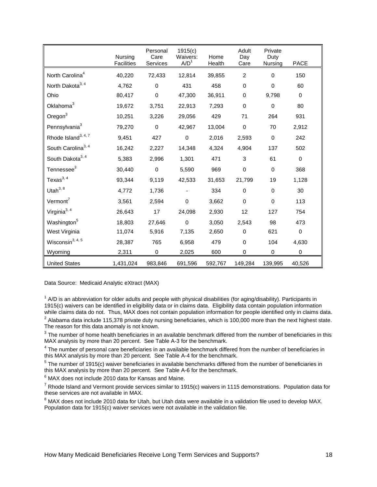|                                 | Nursing<br><b>Facilities</b> | Personal<br>Care<br>Services | 1915(c)<br>Waivers:<br>A/D <sup>1</sup> | Home<br>Health | Adult<br>Day<br>Care | Private<br>Duty<br><b>Nursing</b> | <b>PACE</b> |
|---------------------------------|------------------------------|------------------------------|-----------------------------------------|----------------|----------------------|-----------------------------------|-------------|
| North Carolina <sup>4</sup>     | 40,220                       | 72,433                       | 12,814                                  | 39,855         | $\overline{2}$       | $\mathbf{0}$                      | 150         |
| North Dakota <sup>3, 4</sup>    | 4,762                        | $\mathbf 0$                  | 431                                     | 458            | $\Omega$             | $\Omega$                          | 60          |
| Ohio                            | 80,417                       | $\mathbf 0$                  | 47,300                                  | 36,911         | $\Omega$             | 9,798                             | $\Omega$    |
| Oklahoma <sup>3</sup>           | 19,672                       | 3,751                        | 22,913                                  | 7,293          | $\mathbf 0$          | $\mathbf 0$                       | 80          |
| $O$ regon $3$                   | 10,251                       | 3,226                        | 29,056                                  | 429            | 71                   | 264                               | 931         |
| Pennsylvania <sup>3</sup>       | 79,270                       | $\mathbf 0$                  | 42,967                                  | 13,004         | $\pmb{0}$            | 70                                | 2,912       |
| Rhode Island <sup>3, 4, 7</sup> | 9,451                        | 427                          | $\pmb{0}$                               | 2,016          | 2,593                | $\mathbf 0$                       | 242         |
| South Carolina <sup>3, 4</sup>  | 16,242                       | 2,227                        | 14,348                                  | 4,324          | 4,904                | 137                               | 502         |
| South Dakota <sup>3, 4</sup>    | 5,383                        | 2,996                        | 1,301                                   | 471            | 3                    | 61                                | $\mathbf 0$ |
| Tennessee <sup>3</sup>          | 30,440                       | $\mathbf 0$                  | 5,590                                   | 969            | $\pmb{0}$            | $\mathbf 0$                       | 368         |
| Texas $3, 4$                    | 93,344                       | 9,119                        | 42,533                                  | 31,653         | 21,799               | 19                                | 1,128       |
| Utah $3, 8$                     | 4.772                        | 1,736                        |                                         | 334            | $\mathbf 0$          | $\mathbf 0$                       | 30          |
| Vermont <sup>7</sup>            | 3,561                        | 2,594                        | $\mathbf 0$                             | 3,662          | $\Omega$             | $\mathbf 0$                       | 113         |
| Virginia <sup>3, 4</sup>        | 26,643                       | 17                           | 24,098                                  | 2,930          | 12                   | 127                               | 754         |
| Washington <sup>5</sup>         | 18,803                       | 27,646                       | $\mathbf 0$                             | 3,050          | 2,543                | 98                                | 473         |
| West Virginia                   | 11,074                       | 5,916                        | 7,135                                   | 2,650          | $\mathbf 0$          | 621                               | $\mathbf 0$ |
| Wisconsin <sup>3, 4, 5</sup>    | 28,387                       | 765                          | 6,958                                   | 479            | $\mathbf 0$          | 104                               | 4,630       |
| Wyoming                         | 2,311                        | $\mathbf 0$                  | 2,025                                   | 600            | 0                    | $\pmb{0}$                         | 0           |
| <b>United States</b>            | 1,431,024                    | 983,846                      | 691,596                                 | 592,767        | 149,284              | 139,995                           | 40,526      |

Data Source: Medicaid Analytic eXtract (MAX)

 $1$  A/D is an abbreviation for older adults and people with physical disabilities (for aging/disability). Participants in 1915(c) waivers can be identified in eligibility data or in claims data. Eligibility data contain population information<br>while claims data do not. Thus, MAX does not contain population information for people identified onl

 $2$  Alabama data include 115,378 private duty nursing beneficiaries, which is 100,000 more than the next highest state. The reason for this data anomaly is not known.

 $3$  The number of home health beneficiaries in an available benchmark differed from the number of beneficiaries in this MAX analysis by more than 20 percent. See Table A-3 for the benchmark.

<sup>4</sup> The number of personal care beneficiaries in an available benchmark differed from the number of beneficiaries in this MAX analysis by more than 20 percent. See Table A-4 for the benchmark.

<sup>5</sup> The number of 1915(c) waiver beneficiaries in available benchmarks differed from the number of beneficiaries in this MAX analysis by more than 20 percent. See Table A-6 for the benchmark.

 $6$  MAX does not include 2010 data for Kansas and Maine.

 $7$  Rhode Island and Vermont provide services similar to 1915(c) waivers in 1115 demonstrations. Population data for these services are not available in MAX.

<sup>8</sup> MAX does not include 2010 data for Utah, but Utah data were available in a validation file used to develop MAX. Population data for 1915(c) waiver services were not available in the validation file.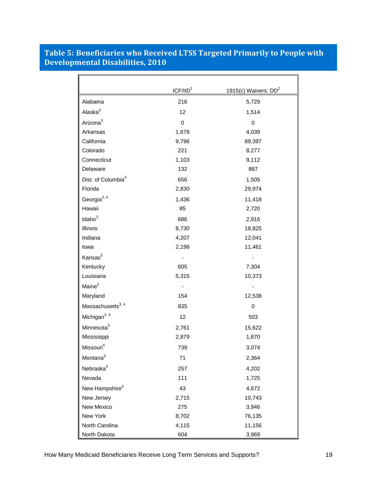#### <span id="page-23-0"></span>**Table 5: Beneficiaries who Received LTSS Targeted Primarily to People with Developmental Disabilities, 2010**

|                                | ICF/IID <sup>1</sup> | 1915(c) Waivers: DD <sup>2</sup> |
|--------------------------------|----------------------|----------------------------------|
| Alabama                        | 216                  | 5,729                            |
| Alaska <sup>3</sup>            | 12                   | 1,514                            |
| Arizona <sup>3</sup>           | $\mathsf 0$          | $\mathbf 0$                      |
| Arkansas                       | 1,678                | 4,039                            |
| California                     | 9,796                | 89,397                           |
| Colorado                       | 221                  | 8,277                            |
| Connecticut                    | 1,103                | 9,112                            |
| Delaware                       | 132                  | 887                              |
| Dist. of Columbia <sup>3</sup> | 656                  | 1,505                            |
| Florida                        | 2,830                | 29,974                           |
| Georgia <sup>3, 4</sup>        | 1,436                | 11,418                           |
| Hawaii                         | 85                   | 2,720                            |
| Idaho $3$                      | 686                  | 2,916                            |
| Illinois                       | 8,730                | 18,825                           |
| Indiana                        | 4,207                | 12,041                           |
| lowa                           | 2,198                | 11,461                           |
| Kansas <sup>5</sup>            |                      |                                  |
| Kentucky                       | 605                  | 7,304                            |
| Louisiana                      | 5,315                | 10,373                           |
| Maine <sup>5</sup>             |                      |                                  |
| Maryland                       | 154                  | 12,538                           |
| Massachusetts <sup>3, 4</sup>  | 835                  | 0                                |
| Michigan <sup>3, 4</sup>       | 12                   | 503                              |
| Minnesota <sup>3</sup>         | 2,761                | 15,622                           |
| Mississippi                    | 2,879                | 1,870                            |
| $\mathsf{Missouri}^4$          | 739                  | 3,074                            |
| Montana <sup>3</sup>           | 71                   | 2,364                            |
| Nebraska <sup>3</sup>          | 257                  | 4,202                            |
| Nevada                         | 111                  | 1,725                            |
| New Hampshire <sup>3</sup>     | 43                   | 4,672                            |
| New Jersey                     | 2,715                | 10,743                           |
| New Mexico                     | 275                  | 3,946                            |
| New York                       | 8,702                | 76,135                           |
| North Carolina                 | 4,115                | 11,156                           |
| North Dakota                   | 604                  | 3,969                            |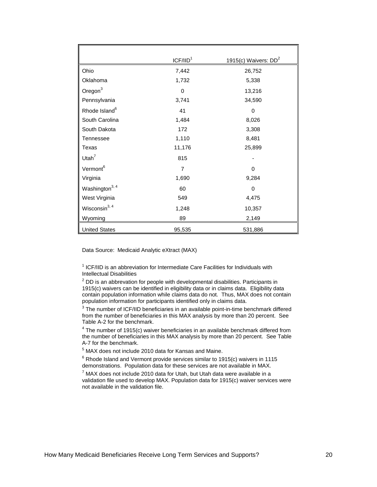|                            | ICF/IID <sup>1</sup> | 1915(c) Waivers: $DD2$ |
|----------------------------|----------------------|------------------------|
| Ohio                       | 7,442                | 26,752                 |
| Oklahoma                   | 1,732                | 5,338                  |
| Oregon <sup>3</sup>        | 0                    | 13,216                 |
| Pennsylvania               | 3,741                | 34,590                 |
| Rhode Island <sup>6</sup>  | 41                   | $\mathbf 0$            |
| South Carolina             | 1,484                | 8,026                  |
| South Dakota               | 172                  | 3,308                  |
| Tennessee                  | 1,110                | 8,481                  |
| Texas                      | 11,176               | 25,899                 |
| Utah $7$                   | 815                  |                        |
| Vermont <sup>6</sup>       | 7                    | $\Omega$               |
| Virginia                   | 1,690                | 9,284                  |
| Washington <sup>3, 4</sup> | 60                   | $\Omega$               |
| West Virginia              | 549                  | 4,475                  |
| Wisconsin <sup>3, 4</sup>  | 1,248                | 10,357                 |
| Wyoming                    | 89                   | 2,149                  |
| <b>United States</b>       | 95,535               | 531,886                |

Data Source: Medicaid Analytic eXtract (MAX)

 $1$  ICF/IID is an abbreviation for Intermediate Care Facilities for Individuals with Intellectual Disabilities

 $2$  DD is an abbrevation for people with developmental disabilities. Participants in 1915(c) waivers can be identified in eligibility data or in claims data. Eligibility data contain population information while claims data do not. Thus, MAX does not contain population information for participants identified only in claims data.

 $3$  The number of ICF/IID beneficiaries in an available point-in-time benchmark differed from the number of beneficiaries in this MAX analysis by more than 20 percent. See

 $4$  The number of 1915(c) waiver beneficiaries in an available benchmark differed from the number of beneficiaries in this MAX analysis by more than 20 percent. See Table A-7 for the benchmark.

 $<sup>5</sup>$  MAX does not include 2010 data for Kansas and Maine.</sup>

 $6$  Rhode Island and Vermont provide services similar to 1915(c) waivers in 1115 demonstrations. Population data for these services are not available in MAX.

 $7$  MAX does not include 2010 data for Utah, but Utah data were available in a validation file used to develop MAX. Population data for 1915(c) waiver services were not available in the validation file.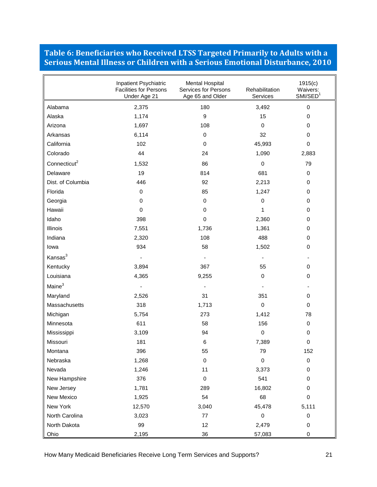#### <span id="page-25-0"></span>**Table 6: Beneficiaries who Received LTSS Targeted Primarily to Adults with a Serious Mental Illness or Children with a Serious Emotional Disturbance, 2010**

|                          | Inpatient Psychiatric<br><b>Facilities for Persons</b><br>Under Age 21 | <b>Mental Hospital</b><br><b>Services for Persons</b><br>Age 65 and Older | Rehabilitation<br>Services | 1915(c)<br>Waivers:<br>SMI/SED <sup>1</sup> |
|--------------------------|------------------------------------------------------------------------|---------------------------------------------------------------------------|----------------------------|---------------------------------------------|
| Alabama                  | 2,375                                                                  | 180                                                                       | 3,492                      | 0                                           |
| Alaska                   | 1,174                                                                  | $\boldsymbol{9}$                                                          | 15                         | 0                                           |
| Arizona                  | 1,697                                                                  | 108                                                                       | 0                          | 0                                           |
| Arkansas                 | 6,114                                                                  | $\mathbf 0$                                                               | 32                         | 0                                           |
| California               | 102                                                                    | $\mathbf 0$                                                               | 45,993                     | 0                                           |
| Colorado                 | 44                                                                     | 24                                                                        | 1,090                      | 2,883                                       |
| Connecticut <sup>2</sup> | 1,532                                                                  | 86                                                                        | $\mathbf 0$                | 79                                          |
| Delaware                 | 19                                                                     | 814                                                                       | 681                        | 0                                           |
| Dist. of Columbia        | 446                                                                    | 92                                                                        | 2,213                      | 0                                           |
| Florida                  | $\pmb{0}$                                                              | 85                                                                        | 1,247                      | 0                                           |
| Georgia                  | 0                                                                      | $\mathbf 0$                                                               | 0                          | 0                                           |
| Hawaii                   | $\mathbf 0$                                                            | $\mathbf 0$                                                               | 1                          | 0                                           |
| Idaho                    | 398                                                                    | $\mathbf 0$                                                               | 2,360                      | 0                                           |
| Illinois                 | 7,551                                                                  | 1,736                                                                     | 1,361                      | 0                                           |
| Indiana                  | 2,320                                                                  | 108                                                                       | 488                        | 0                                           |
| lowa                     | 934                                                                    | 58                                                                        | 1,502                      | 0                                           |
| Kansas <sup>3</sup>      |                                                                        |                                                                           | $\overline{\phantom{a}}$   |                                             |
| Kentucky                 | 3,894                                                                  | 367                                                                       | 55                         | 0                                           |
| Louisiana                | 4,365                                                                  | 9,255                                                                     | 0                          | 0                                           |
| Maine <sup>3</sup>       |                                                                        |                                                                           |                            |                                             |
| Maryland                 | 2,526                                                                  | 31                                                                        | 351                        | 0                                           |
| Massachusetts            | 318                                                                    | 1,713                                                                     | 0                          | 0                                           |
| Michigan                 | 5,754                                                                  | 273                                                                       | 1,412                      | 78                                          |
| Minnesota                | 611                                                                    | 58                                                                        | 156                        | $\mathbf 0$                                 |
| Mississippi              | 3,109                                                                  | 94                                                                        | 0                          | 0                                           |
| Missouri                 | 181                                                                    | $\,6$                                                                     | 7,389                      | 0                                           |
| Montana                  | 396                                                                    | 55                                                                        | 79                         | 152                                         |
| Nebraska                 | 1,268                                                                  | $\pmb{0}$                                                                 | 0                          | $\pmb{0}$                                   |
| Nevada                   | 1,246                                                                  | 11                                                                        | 3,373                      | 0                                           |
| New Hampshire            | 376                                                                    | 0                                                                         | 541                        | 0                                           |
| New Jersey               | 1,781                                                                  | 289                                                                       | 16,802                     | 0                                           |
| New Mexico               | 1,925                                                                  | 54                                                                        | 68                         | 0                                           |
| New York                 | 12,570                                                                 | 3,040                                                                     | 45,478                     | 5,111                                       |
| North Carolina           | 3,023                                                                  | 77                                                                        | $\mathsf 0$                | 0                                           |
| North Dakota             | 99                                                                     | 12                                                                        | 2,479                      | 0                                           |
| Ohio                     | 2,195                                                                  | 36                                                                        | 57,083                     | 0                                           |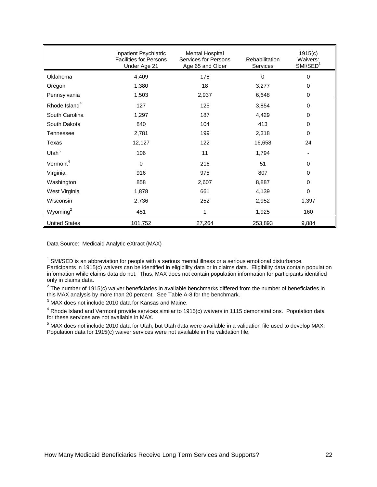|                           | Inpatient Psychiatric<br><b>Facilities for Persons</b><br>Under Age 21 | Mental Hospital<br>Services for Persons<br>Age 65 and Older | Rehabilitation<br><b>Services</b> | 1915(c)<br>Waivers:<br>SMI/SED <sup>1</sup> |
|---------------------------|------------------------------------------------------------------------|-------------------------------------------------------------|-----------------------------------|---------------------------------------------|
| Oklahoma                  | 4,409                                                                  | 178                                                         | $\Omega$                          | $\Omega$                                    |
| Oregon                    | 1,380                                                                  | 18                                                          | 3,277                             | 0                                           |
| Pennsylvania              | 1,503                                                                  | 2,937                                                       | 6,648                             | 0                                           |
| Rhode Island <sup>4</sup> | 127                                                                    | 125                                                         | 3,854                             | 0                                           |
| South Carolina            | 1,297                                                                  | 187                                                         | 4,429                             | 0                                           |
| South Dakota              | 840                                                                    | 104                                                         | 413                               | 0                                           |
| Tennessee                 | 2,781                                                                  | 199                                                         | 2,318                             | $\Omega$                                    |
| Texas                     | 12,127                                                                 | 122                                                         | 16,658                            | 24                                          |
| Utah <sup>5</sup>         | 106                                                                    | 11                                                          | 1,794                             |                                             |
| Vermont <sup>4</sup>      | $\Omega$                                                               | 216                                                         | 51                                | 0                                           |
| Virginia                  | 916                                                                    | 975                                                         | 807                               | 0                                           |
| Washington                | 858                                                                    | 2,607                                                       | 8,887                             | 0                                           |
| West Virginia             | 1,878                                                                  | 661                                                         | 4,139                             | 0                                           |
| Wisconsin                 | 2,736                                                                  | 252                                                         | 2,952                             | 1,397                                       |
| Wyoming $2$               | 451                                                                    |                                                             | 1,925                             | 160                                         |
| <b>United States</b>      | 101,752                                                                | 27,264                                                      | 253,893                           | 9,884                                       |

Data Source: Medicaid Analytic eXtract (MAX)

 $1$  SMI/SED is an abbreviation for people with a serious mental illness or a serious emotional disturbance. Participants in 1915(c) waivers can be identified in eligibility data or in claims data. Eligibility data contain population information while claims data do not. Thus, MAX does not contain population information for participants identified only in claims data.

<sup>2</sup> The number of 1915(c) waiver beneficiaries in available benchmarks differed from the number of beneficiaries in this MAX analysis by more than 20 percent. See Table A-8 for the benchmark.

 $3$  MAX does not include 2010 data for Kansas and Maine.

<sup>4</sup> Rhode Island and Vermont provide services similar to 1915(c) waivers in 1115 demonstrations. Population data for these services are not available in MAX.

<sup>5</sup> MAX does not include 2010 data for Utah, but Utah data were available in a validation file used to develop MAX. Population data for 1915(c) waiver services were not available in the validation file.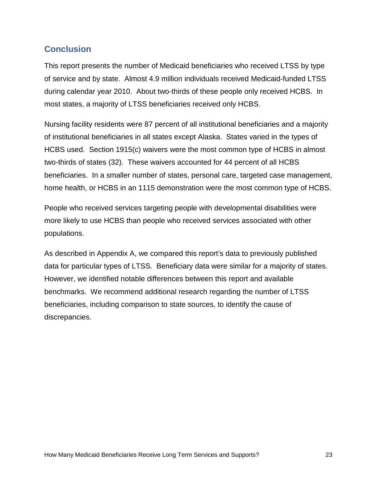#### <span id="page-27-0"></span>**Conclusion**

This report presents the number of Medicaid beneficiaries who received LTSS by type of service and by state. Almost 4.9 million individuals received Medicaid-funded LTSS during calendar year 2010. About two-thirds of these people only received HCBS. In most states, a majority of LTSS beneficiaries received only HCBS.

Nursing facility residents were 87 percent of all institutional beneficiaries and a majority of institutional beneficiaries in all states except Alaska. States varied in the types of HCBS used. Section 1915(c) waivers were the most common type of HCBS in almost two-thirds of states (32). These waivers accounted for 44 percent of all HCBS beneficiaries. In a smaller number of states, personal care, targeted case management, home health, or HCBS in an 1115 demonstration were the most common type of HCBS.

People who received services targeting people with developmental disabilities were more likely to use HCBS than people who received services associated with other populations.

As described in Appendix A, we compared this report's data to previously published data for particular types of LTSS. Beneficiary data were similar for a majority of states. However, we identified notable differences between this report and available benchmarks. We recommend additional research regarding the number of LTSS beneficiaries, including comparison to state sources, to identify the cause of discrepancies.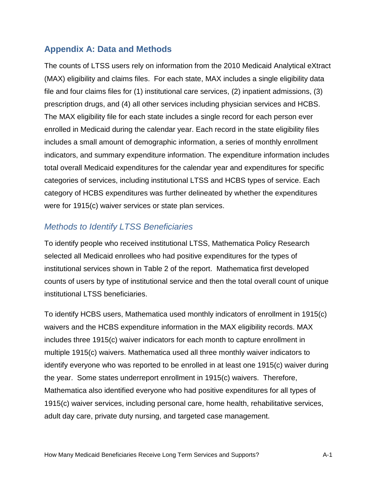## <span id="page-28-0"></span>**Appendix A: Data and Methods**

The counts of LTSS users rely on information from the 2010 Medicaid Analytical eXtract (MAX) eligibility and claims files. For each state, MAX includes a single eligibility data file and four claims files for (1) institutional care services, (2) inpatient admissions, (3) prescription drugs, and (4) all other services including physician services and HCBS. The MAX eligibility file for each state includes a single record for each person ever enrolled in Medicaid during the calendar year. Each record in the state eligibility files includes a small amount of demographic information, a series of monthly enrollment indicators, and summary expenditure information. The expenditure information includes total overall Medicaid expenditures for the calendar year and expenditures for specific categories of services, including institutional LTSS and HCBS types of service. Each category of HCBS expenditures was further delineated by whether the expenditures were for 1915(c) waiver services or state plan services.

#### <span id="page-28-1"></span>*Methods to Identify LTSS Beneficiaries*

To identify people who received institutional LTSS, Mathematica Policy Research selected all Medicaid enrollees who had positive expenditures for the types of institutional services shown in Table 2 of the report. Mathematica first developed counts of users by type of institutional service and then the total overall count of unique institutional LTSS beneficiaries.

To identify HCBS users, Mathematica used monthly indicators of enrollment in 1915(c) waivers and the HCBS expenditure information in the MAX eligibility records. MAX includes three 1915(c) waiver indicators for each month to capture enrollment in multiple 1915(c) waivers. Mathematica used all three monthly waiver indicators to identify everyone who was reported to be enrolled in at least one 1915(c) waiver during the year. Some states underreport enrollment in 1915(c) waivers. Therefore, Mathematica also identified everyone who had positive expenditures for all types of 1915(c) waiver services, including personal care, home health, rehabilitative services, adult day care, private duty nursing, and targeted case management.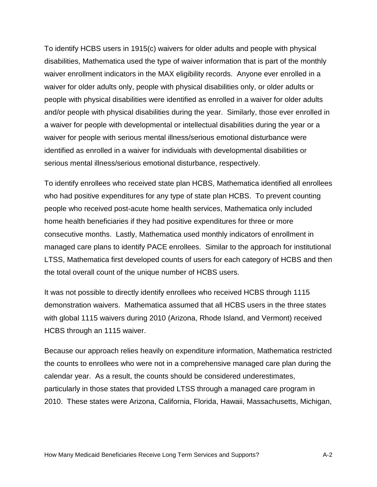To identify HCBS users in 1915(c) waivers for older adults and people with physical disabilities, Mathematica used the type of waiver information that is part of the monthly waiver enrollment indicators in the MAX eligibility records. Anyone ever enrolled in a waiver for older adults only, people with physical disabilities only, or older adults or people with physical disabilities were identified as enrolled in a waiver for older adults and/or people with physical disabilities during the year. Similarly, those ever enrolled in a waiver for people with developmental or intellectual disabilities during the year or a waiver for people with serious mental illness/serious emotional disturbance were identified as enrolled in a waiver for individuals with developmental disabilities or serious mental illness/serious emotional disturbance, respectively.

To identify enrollees who received state plan HCBS, Mathematica identified all enrollees who had positive expenditures for any type of state plan HCBS. To prevent counting people who received post-acute home health services, Mathematica only included home health beneficiaries if they had positive expenditures for three or more consecutive months. Lastly, Mathematica used monthly indicators of enrollment in managed care plans to identify PACE enrollees. Similar to the approach for institutional LTSS, Mathematica first developed counts of users for each category of HCBS and then the total overall count of the unique number of HCBS users.

It was not possible to directly identify enrollees who received HCBS through 1115 demonstration waivers. Mathematica assumed that all HCBS users in the three states with global 1115 waivers during 2010 (Arizona, Rhode Island, and Vermont) received HCBS through an 1115 waiver.

Because our approach relies heavily on expenditure information, Mathematica restricted the counts to enrollees who were not in a comprehensive managed care plan during the calendar year. As a result, the counts should be considered underestimates, particularly in those states that provided LTSS through a managed care program in 2010. These states were Arizona, California, Florida, Hawaii, Massachusetts, Michigan,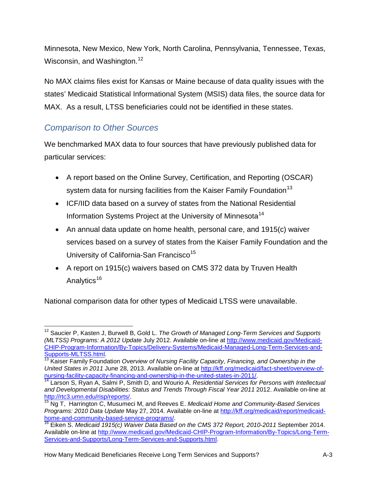Minnesota, New Mexico, New York, North Carolina, Pennsylvania, Tennessee, Texas, Wisconsin, and Washington.<sup>[12](#page-20-0)</sup>

No MAX claims files exist for Kansas or Maine because of data quality issues with the states' Medicaid Statistical Informational System (MSIS) data files, the source data for MAX. As a result, LTSS beneficiaries could not be identified in these states.

# <span id="page-30-0"></span>*Comparison to Other Sources*

We benchmarked MAX data to four sources that have previously published data for particular services:

- A report based on the Online Survey, Certification, and Reporting (OSCAR) system data for nursing facilities from the Kaiser Family Foundation<sup>[13](#page-30-1)</sup>
- ICF/IID data based on a survey of states from the National Residential Information Systems Project at the University of Minnesota<sup>[14](#page-30-2)</sup>
- An annual data update on home health, personal care, and 1915(c) waiver services based on a survey of states from the Kaiser Family Foundation and the University of California-San Francisco<sup>[15](#page-30-3)</sup>
- A report on 1915(c) waivers based on CMS 372 data by Truven Health Analytics<sup>[16](#page-30-4)</sup>

National comparison data for other types of Medicaid LTSS were unavailable.

 $\overline{\phantom{a}}$ <sup>12</sup> Saucier P, Kasten J, Burwell B, Gold L. *The Growth of Managed Long-Term Services and Supports (MLTSS) Programs: A 2012 Update* July 2012. Available on-line at [http://www.medicaid.gov/Medicaid-](http://www.medicaid.gov/Medicaid-CHIP-Program-Information/By-Topics/Delivery-Systems/Medicaid-Managed-Long-Term-Services-and-Supports-MLTSS.html)[CHIP-Program-Information/By-Topics/Delivery-Systems/Medicaid-Managed-Long-Term-Services-and-](http://www.medicaid.gov/Medicaid-CHIP-Program-Information/By-Topics/Delivery-Systems/Medicaid-Managed-Long-Term-Services-and-Supports-MLTSS.html)[Supports-MLTSS.html.](http://www.medicaid.gov/Medicaid-CHIP-Program-Information/By-Topics/Delivery-Systems/Medicaid-Managed-Long-Term-Services-and-Supports-MLTSS.html)<br><sup>[13](http://www.medicaid.gov/Medicaid-CHIP-Program-Information/By-Topics/Delivery-Systems/Medicaid-Managed-Long-Term-Services-and-Supports-MLTSS.html)</sup> Kaiser Family Foundation *Overview of Nursing Facility Capacity, Financing, and Ownership in the* 

<span id="page-30-1"></span>*United States in 2011* June 28, 2013. Available on-line at http://kff.org/medicaid/fact-sheet/overview-of-<br>nursing-facility-capacity-financing-and-ownership-in-the-united-states-in-2011/

<span id="page-30-2"></span><sup>&</sup>lt;sup>[14](http://kff.org/medicaid/fact-sheet/overview-of-nursing-facility-capacity-financing-and-ownership-in-the-united-states-in-2011/)</sup> Larson S, Ryan A, Salmi P, Smith D, and Wourio A. *Residential Services for Persons with Intellectual* and Developmental Disabilities: Status and Trends Through Fiscal Year 2011 2012. Available on-line at http://rtc3.umn.edu/risp/reports/.

<span id="page-30-3"></span>Ng T, Harrington C, Musumeci M, and Reeves E. *Medicaid Home and Community-Based Services Programs: 2010 Data Update* May 27, 2014. Available on-line at [http://kff.org/medicaid/report/medicaid](http://kff.org/medicaid/report/medicaid-home-and-community-based-service-programs/)[home-and-community-based-service-programs/.](http://kff.org/medicaid/report/medicaid-home-and-community-based-service-programs/)<br><sup>[16](http://kff.org/medicaid/report/medicaid-home-and-community-based-service-programs/)</sup> Eiken S. *Medicaid 1915(c) Waiver Data Based on the CMS 372 Report, 2010-2011* September 2014.

<span id="page-30-4"></span>Available on-line at [http://www.medicaid.gov/Medicaid-CHIP-Program-Information/By-Topics/Long-Term-](http://www.medicaid.gov/Medicaid-CHIP-Program-Information/By-Topics/Long-Term-Services-and-Supports/Long-Term-Services-and-Supports.html)[Services-and-Supports/Long-Term-Services-and-Supports.html.](http://www.medicaid.gov/Medicaid-CHIP-Program-Information/By-Topics/Long-Term-Services-and-Supports/Long-Term-Services-and-Supports.html)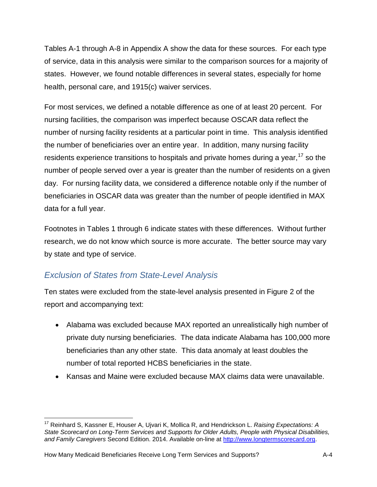Tables A-1 through A-8 in Appendix A show the data for these sources. For each type of service, data in this analysis were similar to the comparison sources for a majority of states. However, we found notable differences in several states, especially for home health, personal care, and 1915(c) waiver services.

For most services, we defined a notable difference as one of at least 20 percent. For nursing facilities, the comparison was imperfect because OSCAR data reflect the number of nursing facility residents at a particular point in time. This analysis identified the number of beneficiaries over an entire year. In addition, many nursing facility residents experience transitions to hospitals and private homes during a year,  $17$  so the number of people served over a year is greater than the number of residents on a given day. For nursing facility data, we considered a difference notable only if the number of beneficiaries in OSCAR data was greater than the number of people identified in MAX data for a full year.

Footnotes in Tables 1 through 6 indicate states with these differences. Without further research, we do not know which source is more accurate. The better source may vary by state and type of service.

# <span id="page-31-0"></span>*Exclusion of States from State-Level Analysis*

Ten states were excluded from the state-level analysis presented in Figure 2 of the report and accompanying text:

- Alabama was excluded because MAX reported an unrealistically high number of private duty nursing beneficiaries. The data indicate Alabama has 100,000 more beneficiaries than any other state. This data anomaly at least doubles the number of total reported HCBS beneficiaries in the state.
- Kansas and Maine were excluded because MAX claims data were unavailable.

 $\overline{\phantom{a}}$ <sup>17</sup> Reinhard S, Kassner E, Houser A, Ujvari K, Mollica R, and Hendrickson L. *Raising Expectations: A State Scorecard on Long-Term Services and Supports for Older Adults, People with Physical Disabilities, and Family Caregivers* Second Edition. 2014. Available on-line at [http://www.longtermscorecard.org.](http://www.longtermscorecard.org/)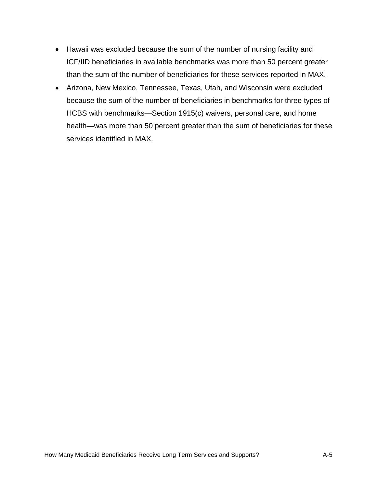- Hawaii was excluded because the sum of the number of nursing facility and ICF/IID beneficiaries in available benchmarks was more than 50 percent greater than the sum of the number of beneficiaries for these services reported in MAX.
- Arizona, New Mexico, Tennessee, Texas, Utah, and Wisconsin were excluded because the sum of the number of beneficiaries in benchmarks for three types of HCBS with benchmarks—Section 1915(c) waivers, personal care, and home health—was more than 50 percent greater than the sum of beneficiaries for these services identified in MAX.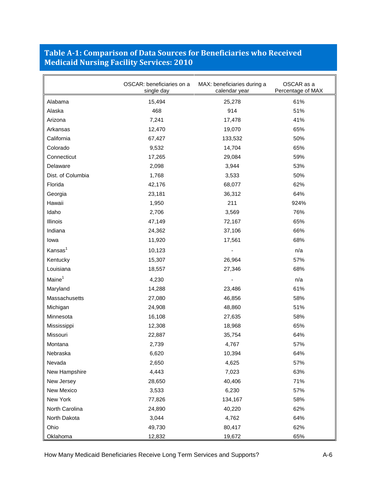## <span id="page-33-0"></span>**Table A-1: Comparison of Data Sources for Beneficiaries who Received Medicaid Nursing Facility Services: 2010**

|                     | OSCAR: beneficiaries on a<br>MAX: beneficiaries during a<br>single day<br>calendar year |         | OSCAR as a<br>Percentage of MAX |
|---------------------|-----------------------------------------------------------------------------------------|---------|---------------------------------|
| Alabama             | 15,494                                                                                  | 25,278  | 61%                             |
| Alaska              | 468                                                                                     | 914     | 51%                             |
| Arizona             | 7,241                                                                                   | 17,478  | 41%                             |
| Arkansas            | 12,470                                                                                  | 19,070  | 65%                             |
| California          | 67,427                                                                                  | 133,532 | 50%                             |
| Colorado            | 9,532                                                                                   | 14,704  | 65%                             |
| Connecticut         | 17,265                                                                                  | 29,084  | 59%                             |
| Delaware            | 2,098                                                                                   | 3,944   | 53%                             |
| Dist. of Columbia   | 1,768                                                                                   | 3,533   | 50%                             |
| Florida             | 42,176                                                                                  | 68,077  | 62%                             |
| Georgia             | 23,181                                                                                  | 36,312  | 64%                             |
| Hawaii              | 1,950                                                                                   | 211     | 924%                            |
| Idaho               | 2,706                                                                                   | 3,569   | 76%                             |
| Illinois            | 47,149                                                                                  | 72,167  | 65%                             |
| Indiana             | 24,362                                                                                  | 37,106  | 66%                             |
| lowa                | 11,920                                                                                  | 17,561  | 68%                             |
| Kansas <sup>1</sup> | 10,123                                                                                  |         | n/a                             |
| Kentucky            | 15,307                                                                                  | 26,964  | 57%                             |
| Louisiana           | 18,557                                                                                  | 27,346  | 68%                             |
| Maine <sup>1</sup>  | 4,230                                                                                   |         | n/a                             |
| Maryland            | 14,288                                                                                  | 23,486  | 61%                             |
| Massachusetts       | 27,080                                                                                  | 46,856  | 58%                             |
| Michigan            | 24,908                                                                                  | 48,860  | 51%                             |
| Minnesota           | 16,108                                                                                  | 27,635  | 58%                             |
| Mississippi         | 12,308                                                                                  | 18,968  | 65%                             |
| Missouri            | 22,887                                                                                  | 35,754  | 64%                             |
| Montana             | 2,739                                                                                   | 4,767   | 57%                             |
| Nebraska            | 6,620                                                                                   | 10,394  | 64%                             |
| Nevada              | 2,650                                                                                   | 4,625   | 57%                             |
| New Hampshire       | 4,443                                                                                   | 7,023   | 63%                             |
| New Jersey          | 28,650                                                                                  | 40,406  | 71%                             |
| New Mexico          | 3,533                                                                                   | 6,230   | 57%                             |
| New York            | 77,826                                                                                  | 134,167 | 58%                             |
| North Carolina      | 24,890                                                                                  | 40,220  | 62%                             |
| North Dakota        | 3,044                                                                                   | 4,762   | 64%                             |
| Ohio                | 49,730                                                                                  | 80,417  | 62%                             |
| Oklahoma            | 12,832                                                                                  | 19,672  | 65%                             |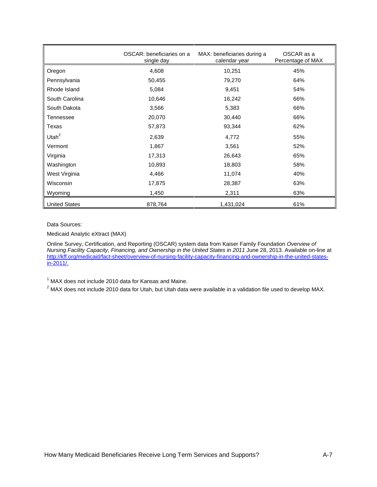|                      | OSCAR: beneficiaries on a<br>single day | MAX: beneficiaries during a<br>calendar year | OSCAR as a<br>Percentage of MAX |
|----------------------|-----------------------------------------|----------------------------------------------|---------------------------------|
| Oregon               | 4,608                                   | 10,251                                       | 45%                             |
| Pennsylvania         | 50,455                                  | 79,270                                       | 64%                             |
| Rhode Island         | 5,084                                   | 9,451                                        | 54%                             |
| South Carolina       | 10,646                                  | 16,242                                       | 66%                             |
| South Dakota         | 3,566                                   | 5,383                                        | 66%                             |
| Tennessee            | 20,070                                  | 30,440                                       | 66%                             |
| Texas                | 57,873                                  | 93,344                                       | 62%                             |
| Utah $^2$            | 2,639                                   | 4,772                                        | 55%                             |
| Vermont              | 1,867                                   | 3,561                                        | 52%                             |
| Virginia             | 17,313                                  | 26,643                                       | 65%                             |
| Washington           | 10,893                                  | 18,803                                       | 58%                             |
| West Virginia        | 4,466                                   | 11,074                                       | 40%                             |
| Wisconsin            | 17,875                                  | 28,387                                       | 63%                             |
| Wyoming              | 1,450                                   | 2,311                                        | 63%                             |
| <b>United States</b> | 878,764                                 | 1,431,024                                    | 61%                             |

Data Sources:

Medicaid Analytic eXtract (MAX)

Online Survey, Certification, and Reporting (OSCAR) system data from Kaiser Family Foundation *Overview of Nursing Facility Capacity, Financing, and Ownership in the United States in 2011 June 28, 2013. Available on-line at* [http://kff.org/medicaid/fact-sheet/overview-of-nursing-facility-capacity-financing-and-ownership-in-the-united-states](http://kff.org/medicaid/fact-sheet/overview-of-nursing-facility-capacity-financing-and-ownership-in-the-united-states-in-2011/)[in-2011/.](http://kff.org/medicaid/fact-sheet/overview-of-nursing-facility-capacity-financing-and-ownership-in-the-united-states-in-2011/)

<sup>1</sup> MAX does not include 2010 data for Kansas and Maine.

 $2$  MAX does not include 2010 data for Utah, but Utah data were available in a validation file used to develop MAX.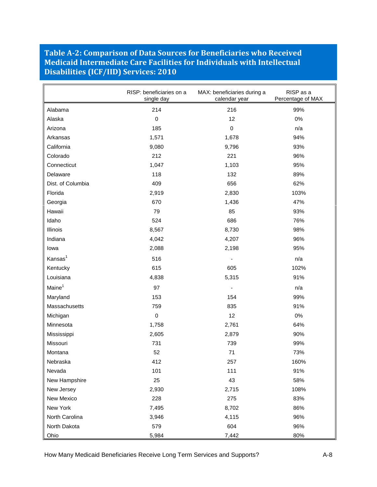#### <span id="page-35-0"></span>**Table A-2: Comparison of Data Sources for Beneficiaries who Received Medicaid Intermediate Care Facilities for Individuals with Intellectual Disabilities (ICF/IID) Services: 2010**

|                     | RISP: beneficiaries on a<br>single day | MAX: beneficiaries during a<br>calendar year | RISP as a<br>Percentage of MAX |
|---------------------|----------------------------------------|----------------------------------------------|--------------------------------|
| Alabama             | 214                                    | 216                                          | 99%                            |
| Alaska              | $\mathbf 0$                            | 12                                           | 0%                             |
| Arizona             | 185                                    | 0                                            | n/a                            |
| Arkansas            | 1,571                                  | 1,678                                        | 94%                            |
| California          | 9,080                                  | 9,796                                        | 93%                            |
| Colorado            | 212                                    | 221                                          | 96%                            |
| Connecticut         | 1,047                                  | 1,103                                        | 95%                            |
| Delaware            | 118                                    | 132                                          | 89%                            |
| Dist. of Columbia   | 409                                    | 656                                          | 62%                            |
| Florida             | 2,919                                  | 2,830                                        | 103%                           |
| Georgia             | 670                                    | 1,436                                        | 47%                            |
| Hawaii              | 79                                     | 85                                           | 93%                            |
| Idaho               | 524                                    | 686                                          | 76%                            |
| Illinois            | 8,567                                  | 8,730                                        | 98%                            |
| Indiana             | 4,042                                  | 4,207                                        | 96%                            |
| lowa                | 2,088                                  | 2,198                                        | 95%                            |
| Kansas <sup>1</sup> | 516                                    |                                              | n/a                            |
| Kentucky            | 615                                    | 605                                          | 102%                           |
| Louisiana           | 4,838                                  | 5,315                                        | 91%                            |
| Maine <sup>1</sup>  | 97                                     |                                              | n/a                            |
| Maryland            | 153                                    | 154                                          | 99%                            |
| Massachusetts       | 759                                    | 835                                          | 91%                            |
| Michigan            | $\mathbf 0$                            | 12                                           | $0\%$                          |
| Minnesota           | 1,758                                  | 2,761                                        | 64%                            |
| Mississippi         | 2,605                                  | 2,879                                        | 90%                            |
| Missouri            | 731                                    | 739                                          | 99%                            |
| Montana             | 52                                     | 71                                           | 73%                            |
| Nebraska            | 412                                    | 257                                          | 160%                           |
| Nevada              | 101                                    | 111                                          | 91%                            |
| New Hampshire       | 25                                     | 43                                           | 58%                            |
| New Jersey          | 2,930                                  | 2,715                                        | 108%                           |
| New Mexico          | 228                                    | 275                                          | 83%                            |
| New York            | 7,495                                  | 8,702                                        | 86%                            |
| North Carolina      | 3,946                                  | 4,115                                        | 96%                            |
| North Dakota        | 579                                    | 604                                          | 96%                            |
| Ohio                | 5,984                                  | 7,442                                        | 80%                            |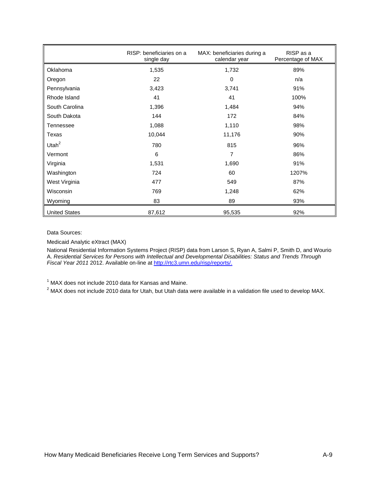|                      | RISP: beneficiaries on a<br>single day | MAX: beneficiaries during a<br>calendar year | RISP as a<br>Percentage of MAX |
|----------------------|----------------------------------------|----------------------------------------------|--------------------------------|
| Oklahoma             | 1,535                                  | 1,732                                        | 89%                            |
| Oregon               | 22                                     | 0                                            | n/a                            |
| Pennsylvania         | 3,423                                  | 3,741                                        | 91%                            |
| Rhode Island         | 41                                     | 41                                           | 100%                           |
| South Carolina       | 1,396                                  | 1,484                                        | 94%                            |
| South Dakota         | 144                                    | 172                                          | 84%                            |
| Tennessee            | 1,088                                  | 1,110                                        | 98%                            |
| Texas                | 10,044                                 | 11,176                                       | 90%                            |
| Utah $2$             | 780                                    | 815                                          | 96%                            |
| Vermont              | 6                                      | 7                                            | 86%                            |
| Virginia             | 1,531                                  | 1,690                                        | 91%                            |
| Washington           | 724                                    | 60                                           | 1207%                          |
| West Virginia        | 477                                    | 549                                          | 87%                            |
| Wisconsin            | 769                                    | 1,248                                        | 62%                            |
| Wyoming              | 83                                     | 89                                           | 93%                            |
| <b>United States</b> | 87,612                                 | 95,535                                       | 92%                            |

Data Sources:

Medicaid Analytic eXtract (MAX)

National Residential Information Systems Project (RISP) data from Larson S, Ryan A, Salmi P, Smith D, and Wourio A. *Residential Services for Persons with Intellectual and Developmental Disabilities: Status and Trends Through Fiscal Year 2011* 2012. Available on-line at http://rtc3.umn.edu/risp/reports/.

 $<sup>1</sup>$  MAX does not include 2010 data for Kansas and Maine.</sup>

 $2$  MAX does not include 2010 data for Utah, but Utah data were available in a validation file used to develop MAX.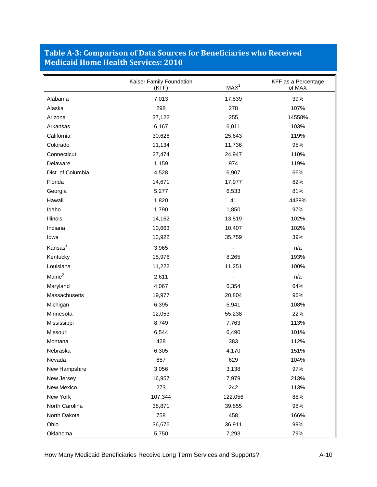## <span id="page-37-0"></span>**Table A-3: Comparison of Data Sources for Beneficiaries who Received Medicaid Home Health Services: 2010**

|                    | Kaiser Family Foundation<br>MAX <sup>1</sup><br>(KFF) |         | KFF as a Percentage<br>of MAX |
|--------------------|-------------------------------------------------------|---------|-------------------------------|
| Alabama            | 7,013                                                 | 17,839  | 39%                           |
| Alaska             | 298                                                   | 278     | 107%                          |
| Arizona            | 37,122                                                | 255     | 14558%                        |
| Arkansas           | 6,167                                                 | 6,011   | 103%                          |
| California         | 30,626                                                | 25,643  | 119%                          |
| Colorado           | 11,134                                                | 11,736  | 95%                           |
| Connecticut        | 27,474                                                | 24,947  | 110%                          |
| Delaware           | 1,159                                                 | 974     | 119%                          |
| Dist. of Columbia  | 4,528                                                 | 6,907   | 66%                           |
| Florida            | 14,671                                                | 17,977  | 82%                           |
| Georgia            | 5,277                                                 | 6,533   | 81%                           |
| Hawaii             | 1,820                                                 | 41      | 4439%                         |
| Idaho              | 1,790                                                 | 1,850   | 97%                           |
| Illinois           | 14,162                                                | 13,819  | 102%                          |
| Indiana            | 10,663                                                | 10,407  | 102%                          |
| lowa               | 13,922                                                | 35,759  | 39%                           |
| Kansas $2$         | 3,965                                                 |         | n/a                           |
| Kentucky           | 15,976                                                | 8,265   | 193%                          |
| Louisiana          | 11,222                                                | 11,251  | 100%                          |
| Maine <sup>2</sup> | 2,611                                                 |         | n/a                           |
| Maryland           | 4,067                                                 | 6,354   | 64%                           |
| Massachusetts      | 19,977                                                | 20,804  | 96%                           |
| Michigan           | 6,395                                                 | 5,941   | 108%                          |
| Minnesota          | 12,053                                                | 55,238  | 22%                           |
| Mississippi        | 8,749                                                 | 7,763   | 113%                          |
| Missouri           | 6,544                                                 | 6,490   | 101%                          |
| Montana            | 428                                                   | 383     | 112%                          |
| Nebraska           | 6,305                                                 | 4,170   | 151%                          |
| Nevada             | 657                                                   | 629     | 104%                          |
| New Hampshire      | 3,056                                                 | 3,138   | 97%                           |
| New Jersey         | 16,957                                                | 7,979   | 213%                          |
| New Mexico         | 273                                                   | 242     | 113%                          |
| New York           | 107,344                                               | 122,056 | 88%                           |
| North Carolina     | 38,871                                                | 39,855  | 98%                           |
| North Dakota       | 758                                                   | 458     | 166%                          |
| Ohio               | 36,676                                                | 36,911  | 99%                           |
| Oklahoma           | 5,750                                                 | 7,293   | 79%                           |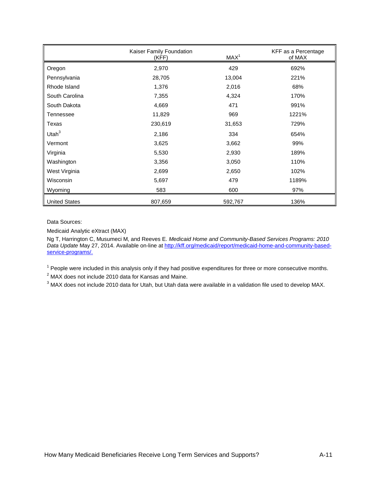|                      | Kaiser Family Foundation<br>MAX <sup>1</sup><br>(KFF) |         | KFF as a Percentage<br>of MAX |
|----------------------|-------------------------------------------------------|---------|-------------------------------|
| Oregon               | 2,970                                                 | 429     | 692%                          |
| Pennsylvania         | 28,705                                                | 13,004  | 221%                          |
| Rhode Island         | 1,376                                                 | 2,016   | 68%                           |
| South Carolina       | 7,355                                                 | 4,324   | 170%                          |
| South Dakota         | 4,669                                                 | 471     | 991%                          |
| Tennessee            | 11,829                                                | 969     | 1221%                         |
| Texas                | 230,619                                               | 31,653  | 729%                          |
| Utah $3$             | 2,186                                                 | 334     | 654%                          |
| Vermont              | 3,625                                                 | 3,662   | 99%                           |
| Virginia             | 5,530                                                 | 2,930   | 189%                          |
| Washington           | 3,356                                                 | 3,050   | 110%                          |
| West Virginia        | 2,699                                                 | 2,650   | 102%                          |
| Wisconsin            | 5,697                                                 | 479     | 1189%                         |
| Wyoming              | 583                                                   | 600     | 97%                           |
| <b>United States</b> | 807,659                                               | 592,767 | 136%                          |

Data Sources:

Medicaid Analytic eXtract (MAX)

Ng T, Harrington C, Musumeci M, and Reeves E. *Medicaid Home and Community-Based Services Programs: 2010 Data Update* May 27, 2014. Available on-line at [http://kff.org/medicaid/report/medicaid-home-and-community-based](http://kff.org/medicaid/report/medicaid-home-and-community-based-service-programs/)[service-programs/.](http://kff.org/medicaid/report/medicaid-home-and-community-based-service-programs/) 

 $1$  People were included in this analysis only if they had positive expenditures for three or more consecutive months.

<sup>2</sup> MAX does not include 2010 data for Kansas and Maine.

<sup>3</sup> MAX does not include 2010 data for Utah, but Utah data were available in a validation file used to develop MAX.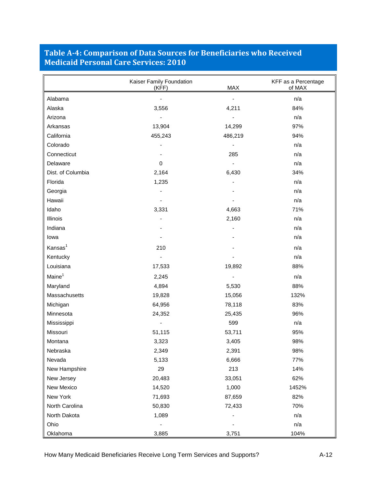## <span id="page-39-0"></span>**Table A-4: Comparison of Data Sources for Beneficiaries who Received Medicaid Personal Care Services: 2010**

|                     | Kaiser Family Foundation<br>MAX<br>(KFF) |         | KFF as a Percentage<br>of MAX |
|---------------------|------------------------------------------|---------|-------------------------------|
| Alabama             |                                          |         | n/a                           |
| Alaska              | 3,556                                    | 4,211   | 84%                           |
| Arizona             |                                          |         | n/a                           |
| Arkansas            | 13,904                                   | 14,299  | 97%                           |
| California          | 455,243                                  | 486,219 | 94%                           |
| Colorado            |                                          |         | n/a                           |
| Connecticut         |                                          | 285     | n/a                           |
| Delaware            | $\mathbf 0$                              |         | n/a                           |
| Dist. of Columbia   | 2,164                                    | 6,430   | 34%                           |
| Florida             | 1,235                                    |         | n/a                           |
| Georgia             |                                          |         | n/a                           |
| Hawaii              |                                          |         | n/a                           |
| Idaho               | 3,331                                    | 4,663   | 71%                           |
| <b>Illinois</b>     |                                          | 2,160   | n/a                           |
| Indiana             |                                          |         | n/a                           |
| lowa                |                                          |         | n/a                           |
| Kansas <sup>1</sup> | 210                                      |         | n/a                           |
| Kentucky            |                                          |         | n/a                           |
| Louisiana           | 17,533                                   | 19,892  | 88%                           |
| Maine <sup>1</sup>  | 2,245                                    |         | n/a                           |
| Maryland            | 4,894                                    | 5,530   | 88%                           |
| Massachusetts       | 19,828                                   | 15,056  | 132%                          |
| Michigan            | 64,956                                   | 78,118  | 83%                           |
| Minnesota           | 24,352                                   | 25,435  | 96%                           |
| Mississippi         |                                          | 599     | n/a                           |
| Missouri            | 51,115                                   | 53,711  | 95%                           |
| Montana             | 3,323                                    | 3,405   | 98%                           |
| Nebraska            | 2,349                                    | 2,391   | 98%                           |
| Nevada              | 5,133                                    | 6,666   | 77%                           |
| New Hampshire       | 29                                       | 213     | 14%                           |
| New Jersey          | 20,483                                   | 33,051  | 62%                           |
| New Mexico          | 14,520                                   | 1,000   | 1452%                         |
| New York            | 71,693                                   | 87,659  | 82%                           |
| North Carolina      | 50,830                                   | 72,433  | 70%                           |
| North Dakota        | 1,089                                    |         | n/a                           |
| Ohio                |                                          |         | n/a                           |
| Oklahoma            | 3,885                                    | 3,751   | 104%                          |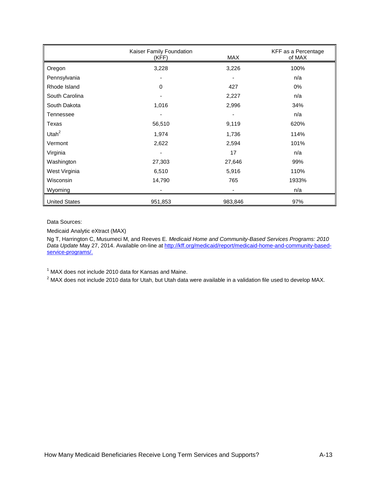|                      | Kaiser Family Foundation<br>(KFF) | MAX     | KFF as a Percentage<br>of MAX |
|----------------------|-----------------------------------|---------|-------------------------------|
| Oregon               | 3,228                             | 3,226   | 100%                          |
| Pennsylvania         |                                   |         | n/a                           |
| Rhode Island         | 0                                 | 427     | 0%                            |
| South Carolina       |                                   | 2,227   | n/a                           |
| South Dakota         | 1,016                             | 2,996   | 34%                           |
| Tennessee            | ٠                                 | -       | n/a                           |
| Texas                | 56,510                            | 9,119   | 620%                          |
| Utah $^2$            | 1,974                             | 1,736   | 114%                          |
| Vermont              | 2,622                             | 2,594   | 101%                          |
| Virginia             |                                   | 17      | n/a                           |
| Washington           | 27,303                            | 27,646  | 99%                           |
| West Virginia        | 6,510                             | 5,916   | 110%                          |
| Wisconsin            | 14,790                            | 765     | 1933%                         |
| Wyoming              |                                   |         | n/a                           |
| <b>United States</b> | 951,853                           | 983,846 | 97%                           |

Data Sources:

Medicaid Analytic eXtract (MAX)

Ng T, Harrington C, Musumeci M, and Reeves E. *Medicaid Home and Community-Based Services Programs: 2010 Data Update* May 27, 2014. Available on-line at [http://kff.org/medicaid/report/medicaid-home-and-community-based](http://kff.org/medicaid/report/medicaid-home-and-community-based-service-programs/)[service-programs/.](http://kff.org/medicaid/report/medicaid-home-and-community-based-service-programs/) 

 $1$  MAX does not include 2010 data for Kansas and Maine.

<sup>2</sup> MAX does not include 2010 data for Utah, but Utah data were available in a validation file used to develop MAX.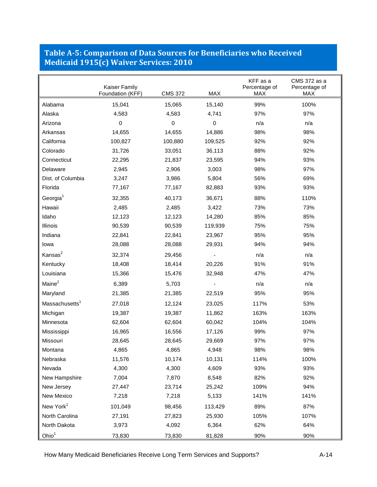## <span id="page-41-0"></span>**Table A-5: Comparison of Data Sources for Beneficiaries who Received Medicaid 1915(c) Waiver Services: 2010**

|                            | Kaiser Family    |                |           | KFF as a<br>Percentage of | CMS 372 as a<br>Percentage of |
|----------------------------|------------------|----------------|-----------|---------------------------|-------------------------------|
|                            | Foundation (KFF) | <b>CMS 372</b> | MAX       | <b>MAX</b>                | <b>MAX</b>                    |
| Alabama                    | 15,041           | 15,065         | 15,140    | 99%                       | 100%                          |
| Alaska                     | 4,583            | 4,583          | 4,741     | 97%                       | 97%                           |
| Arizona                    | 0                | $\pmb{0}$      | $\pmb{0}$ | n/a                       | n/a                           |
| Arkansas                   | 14,655           | 14,655         | 14,886    | 98%                       | 98%                           |
| California                 | 100,827          | 100,880        | 109,525   | 92%                       | 92%                           |
| Colorado                   | 31,726           | 33,051         | 36,113    | 88%                       | 92%                           |
| Connecticut                | 22,295           | 21,837         | 23,595    | 94%                       | 93%                           |
| Delaware                   | 2,945            | 2,906          | 3,003     | 98%                       | 97%                           |
| Dist. of Columbia          | 3,247            | 3,986          | 5,804     | 56%                       | 69%                           |
| Florida                    | 77,167           | 77,167         | 82,883    | 93%                       | 93%                           |
| Georgia <sup>1</sup>       | 32,355           | 40,173         | 36,671    | 88%                       | 110%                          |
| Hawaii                     | 2,485            | 2,485          | 3,422     | 73%                       | 73%                           |
| Idaho                      | 12,123           | 12,123         | 14,280    | 85%                       | 85%                           |
| Illinois                   | 90,539           | 90,539         | 119,939   | 75%                       | 75%                           |
| Indiana                    | 22,841           | 22,841         | 23,967    | 95%                       | 95%                           |
| lowa                       | 28,088           | 28,088         | 29,931    | 94%                       | 94%                           |
| Kansas <sup>2</sup>        | 32,374           | 29,456         |           | n/a                       | n/a                           |
| Kentucky                   | 18,408           | 18,414         | 20,226    | 91%                       | 91%                           |
| Louisiana                  | 15,366           | 15,476         | 32,948    | 47%                       | 47%                           |
| Maine <sup>2</sup>         | 6,389            | 5,703          |           | n/a                       | n/a                           |
| Maryland                   | 21,385           | 21,385         | 22,519    | 95%                       | 95%                           |
| Massachusetts <sup>1</sup> | 27,018           | 12,124         | 23,025    | 117%                      | 53%                           |
| Michigan                   | 19,387           | 19,387         | 11,862    | 163%                      | 163%                          |
| Minnesota                  | 62,604           | 62,604         | 60,042    | 104%                      | 104%                          |
| Mississippi                | 16,965           | 16,556         | 17,126    | 99%                       | 97%                           |
| Missouri                   | 28,645           | 28,645         | 29,669    | 97%                       | 97%                           |
| Montana                    | 4,865            | 4,865          | 4,948     | 98%                       | 98%                           |
| Nebraska                   | 11,576           | 10,174         | 10,131    | 114%                      | 100%                          |
| Nevada                     | 4,300            | 4,300          | 4,609     | 93%                       | 93%                           |
| New Hampshire              | 7,004            | 7,870          | 8,548     | 82%                       | 92%                           |
| New Jersey                 | 27,447           | 23,714         | 25,242    | 109%                      | 94%                           |
| New Mexico                 | 7,218            | 7,218          | 5,133     | 141%                      | 141%                          |
| New York <sup>1</sup>      | 101,049          | 98,456         | 113,429   | 89%                       | 87%                           |
| North Carolina             | 27,191           | 27,823         | 25,930    | 105%                      | 107%                          |
| North Dakota               | 3,973            | 4,092          | 6,364     | 62%                       | 64%                           |
| Ohio <sup>1</sup>          | 73,830           | 73,830         | 81,828    | 90%                       | 90%                           |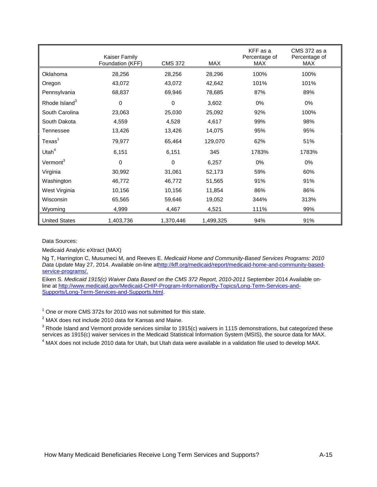|                           | Kaiser Family<br>Foundation (KFF) | <b>CMS 372</b> | MAX       | KFF as a<br>Percentage of<br>MAX | CMS 372 as a<br>Percentage of<br>MAX |
|---------------------------|-----------------------------------|----------------|-----------|----------------------------------|--------------------------------------|
| Oklahoma                  | 28,256                            | 28,256         | 28,296    | 100%                             | 100%                                 |
| Oregon                    | 43,072                            | 43,072         | 42,642    | 101%                             | 101%                                 |
| Pennsylvania              | 68,837                            | 69,946         | 78,685    | 87%                              | 89%                                  |
| Rhode Island <sup>3</sup> | 0                                 | 0              | 3,602     | 0%                               | 0%                                   |
| South Carolina            | 23,063                            | 25,030         | 25,092    | 92%                              | 100%                                 |
| South Dakota              | 4,559                             | 4,528          | 4,617     | 99%                              | 98%                                  |
| Tennessee                 | 13,426                            | 13,426         | 14,075    | 95%                              | 95%                                  |
| $T$ exas <sup>1</sup>     | 79,977                            | 65,464         | 129,070   | 62%                              | 51%                                  |
| Utah $4$                  | 6,151                             | 6,151          | 345       | 1783%                            | 1783%                                |
| Vermont <sup>3</sup>      | 0                                 | $\Omega$       | 6,257     | 0%                               | 0%                                   |
| Virginia                  | 30,992                            | 31,061         | 52,173    | 59%                              | 60%                                  |
| Washington                | 46,772                            | 46,772         | 51,565    | 91%                              | 91%                                  |
| West Virginia             | 10,156                            | 10,156         | 11,854    | 86%                              | 86%                                  |
| Wisconsin                 | 65,565                            | 59,646         | 19,052    | 344%                             | 313%                                 |
| Wyoming                   | 4,999                             | 4,467          | 4,521     | 111%                             | 99%                                  |
| <b>United States</b>      | 1,403,736                         | 1,370,446      | 1.499.325 | 94%                              | 91%                                  |

Data Sources:

Medicaid Analytic eXtract (MAX)

Ng T, Harrington C, Musumeci M, and Reeves E. *Medicaid Home and Community-Based Services Programs: 2010 Data Update* May 27, 2014. Available on-line a[thttp://kff.org/medicaid/report/medicaid-home-and-community-based](http://kff.org/medicaid/report/medicaid-home-and-community-based-service-programs/)[service-programs/.](http://kff.org/medicaid/report/medicaid-home-and-community-based-service-programs/) 

Eiken S. *Medicaid 1915(c) Waiver Data Based on the CMS 372 Report, 2010-2011* September 2014 Available online at [http://www.medicaid.gov/Medicaid-CHIP-Program-Information/By-Topics/Long-Term-Services-and-](http://www.medicaid.gov/Medicaid-CHIP-Program-Information/By-Topics/Long-Term-Services-and-Supports/Long-Term-Services-and-Supports.html)[Supports/Long-Term-Services-and-Supports.html.](http://www.medicaid.gov/Medicaid-CHIP-Program-Information/By-Topics/Long-Term-Services-and-Supports/Long-Term-Services-and-Supports.html)

 $1$  One or more CMS 372s for 2010 was not submitted for this state.

<sup>2</sup> MAX does not include 2010 data for Kansas and Maine.

 $3$  Rhode Island and Vermont provide services similar to 1915(c) waivers in 1115 demonstrations, but categorized these services as 1915(c) waiver services in the Medicaid Statistical Information System (MSIS), the source data for MAX.

<sup>4</sup> MAX does not include 2010 data for Utah, but Utah data were available in a validation file used to develop MAX.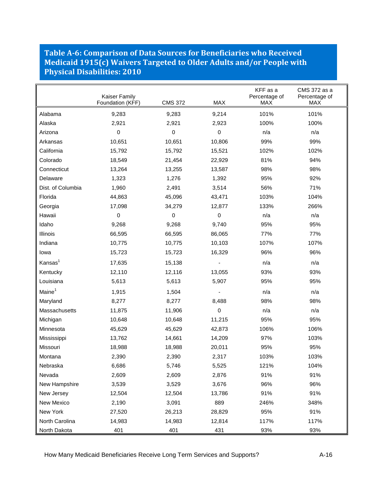#### <span id="page-43-0"></span>**Table A-6: Comparison of Data Sources for Beneficiaries who Received Medicaid 1915(c) Waivers Targeted to Older Adults and/or People with Physical Disabilities: 2010**

|                     | Kaiser Family<br>Foundation (KFF) | <b>CMS 372</b> | MAX         | KFF as a<br>Percentage of<br><b>MAX</b> | CMS 372 as a<br>Percentage of<br><b>MAX</b> |
|---------------------|-----------------------------------|----------------|-------------|-----------------------------------------|---------------------------------------------|
| Alabama             | 9,283                             | 9,283          | 9,214       | 101%                                    | 101%                                        |
| Alaska              | 2,921                             | 2,921          | 2,923       | 100%                                    | 100%                                        |
| Arizona             | $\Omega$                          | 0              | 0           | n/a                                     | n/a                                         |
| Arkansas            | 10,651                            | 10,651         | 10,806      | 99%                                     | 99%                                         |
| California          | 15,792                            | 15,792         | 15,521      | 102%                                    | 102%                                        |
| Colorado            | 18,549                            | 21,454         | 22,929      | 81%                                     | 94%                                         |
| Connecticut         | 13,264                            | 13,255         | 13,587      | 98%                                     | 98%                                         |
| Delaware            | 1,323                             | 1,276          | 1,392       | 95%                                     | 92%                                         |
| Dist. of Columbia   | 1,960                             | 2,491          | 3,514       | 56%                                     | 71%                                         |
| Florida             | 44,863                            | 45,096         | 43,471      | 103%                                    | 104%                                        |
| Georgia             | 17,098                            | 34,279         | 12,877      | 133%                                    | 266%                                        |
| Hawaii              | $\mathbf 0$                       | $\mathbf 0$    | $\mathbf 0$ | n/a                                     | n/a                                         |
| Idaho               | 9,268                             | 9,268          | 9,740       | 95%                                     | 95%                                         |
| <b>Illinois</b>     | 66,595                            | 66,595         | 86,065      | 77%                                     | 77%                                         |
| Indiana             | 10,775                            | 10,775         | 10,103      | 107%                                    | 107%                                        |
| lowa                | 15,723                            | 15,723         | 16,329      | 96%                                     | 96%                                         |
| Kansas <sup>1</sup> | 17,635                            | 15,138         |             | n/a                                     | n/a                                         |
| Kentucky            | 12,110                            | 12,116         | 13,055      | 93%                                     | 93%                                         |
| Louisiana           | 5,613                             | 5,613          | 5,907       | 95%                                     | 95%                                         |
| Maine <sup>1</sup>  | 1,915                             | 1,504          |             | n/a                                     | n/a                                         |
| Maryland            | 8,277                             | 8,277          | 8,488       | 98%                                     | 98%                                         |
| Massachusetts       | 11,875                            | 11,906         | 0           | n/a                                     | n/a                                         |
| Michigan            | 10,648                            | 10,648         | 11,215      | 95%                                     | 95%                                         |
| Minnesota           | 45,629                            | 45,629         | 42,873      | 106%                                    | 106%                                        |
| Mississippi         | 13,762                            | 14,661         | 14,209      | 97%                                     | 103%                                        |
| Missouri            | 18,988                            | 18,988         | 20,011      | 95%                                     | 95%                                         |
| Montana             | 2,390                             | 2,390          | 2,317       | 103%                                    | 103%                                        |
| Nebraska            | 6,686                             | 5,746          | 5,525       | 121%                                    | 104%                                        |
| Nevada              | 2,609                             | 2,609          | 2,876       | 91%                                     | 91%                                         |
| New Hampshire       | 3,539                             | 3,529          | 3,676       | 96%                                     | 96%                                         |
| New Jersey          | 12,504                            | 12,504         | 13,786      | 91%                                     | 91%                                         |
| New Mexico          | 2,190                             | 3,091          | 889         | 246%                                    | 348%                                        |
| New York            | 27,520                            | 26,213         | 28,829      | 95%                                     | 91%                                         |
| North Carolina      | 14,983                            | 14,983         | 12,814      | 117%                                    | 117%                                        |
| North Dakota        | 401                               | 401            | 431         | 93%                                     | 93%                                         |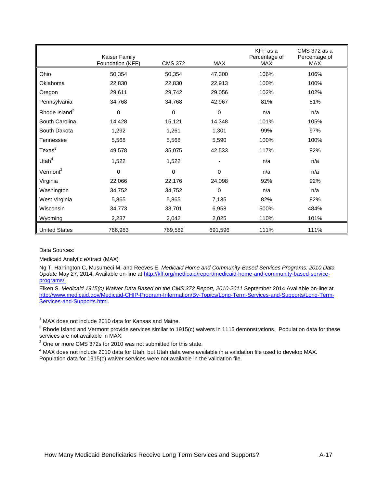|                           | <b>Kaiser Family</b><br>Foundation (KFF) | <b>CMS 372</b> | MAX      | KFF as a<br>Percentage of<br><b>MAX</b> | CMS 372 as a<br>Percentage of<br>MAX |
|---------------------------|------------------------------------------|----------------|----------|-----------------------------------------|--------------------------------------|
| Ohio                      | 50,354                                   | 50,354         | 47,300   | 106%                                    | 106%                                 |
| Oklahoma                  | 22,830                                   | 22,830         | 22,913   | 100%                                    | 100%                                 |
| Oregon                    | 29,611                                   | 29,742         | 29,056   | 102%                                    | 102%                                 |
| Pennsylvania              | 34,768                                   | 34,768         | 42,967   | 81%                                     | 81%                                  |
| Rhode Island <sup>2</sup> | $\mathbf 0$                              | 0              | $\Omega$ | n/a                                     | n/a                                  |
| South Carolina            | 14,428                                   | 15,121         | 14,348   | 101%                                    | 105%                                 |
| South Dakota              | 1,292                                    | 1,261          | 1,301    | 99%                                     | 97%                                  |
| Tennessee                 | 5,568                                    | 5,568          | 5,590    | 100%                                    | 100%                                 |
| $T$ exas $3$              | 49,578                                   | 35,075         | 42,533   | 117%                                    | 82%                                  |
| Utah $4$                  | 1,522                                    | 1,522          |          | n/a                                     | n/a                                  |
| Vermont <sup>2</sup>      | $\Omega$                                 | $\mathbf 0$    | $\Omega$ | n/a                                     | n/a                                  |
| Virginia                  | 22,066                                   | 22,176         | 24,098   | 92%                                     | 92%                                  |
| Washington                | 34,752                                   | 34,752         | $\Omega$ | n/a                                     | n/a                                  |
| West Virginia             | 5,865                                    | 5,865          | 7,135    | 82%                                     | 82%                                  |
| Wisconsin                 | 34,773                                   | 33,701         | 6,958    | 500%                                    | 484%                                 |
| Wyoming                   | 2,237                                    | 2,042          | 2,025    | 110%                                    | 101%                                 |
| <b>United States</b>      | 766,983                                  | 769,582        | 691,596  | 111%                                    | 111%                                 |

Data Sources:

Medicaid Analytic eXtract (MAX)

Ng T, Harrington C, Musumeci M, and Reeves E. *Medicaid Home and Community-Based Services Programs: 2010 Data Update* May 27, 2014. Available on-line at [http://kff.org/medicaid/report/medicaid-home-and-community-based-service](http://kff.org/medicaid/report/medicaid-home-and-community-based-service-programs/)[programs/.](http://kff.org/medicaid/report/medicaid-home-and-community-based-service-programs/) 

Eiken S. *Medicaid 1915(c) Waiver Data Based on the CMS 372 Report, 2010-2011* September 2014 Availabl[e on-line at](http://kff.org/medicaid/report/medicaid-home-and-community-based-service-programs/)  http://www.medicaid.gov/Medicaid-CHIP-Program-Information/By-Topics/Long-Term-Services-and-Supports/Long-Term-Services-and-Supports.html.

 $1$  MAX does not include 2010 data for Kansas and Maine.

 $2$  Rhode Island and Vermont provide services similar to 1915(c) waivers in 1115 demonstrations. Population data for these services are not available in MAX.

<sup>3</sup> One or more CMS 372s for 2010 was not submitted for this state.

<sup>4</sup> MAX does not include 2010 data for Utah, but Utah data were available in a validation file used to develop MAX. Population data for 1915(c) waiver services were not available in the validation file.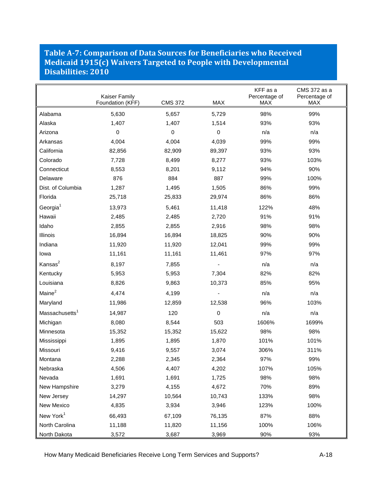#### <span id="page-45-0"></span>**Table A-7: Comparison of Data Sources for Beneficiaries who Received Medicaid 1915(c) Waivers Targeted to People with Developmental Disabilities: 2010**

|                            | Kaiser Family<br>Foundation (KFF) | <b>CMS 372</b> | <b>MAX</b> | KFF as a<br>Percentage of<br><b>MAX</b> | CMS 372 as a<br>Percentage of<br>MAX |
|----------------------------|-----------------------------------|----------------|------------|-----------------------------------------|--------------------------------------|
| Alabama                    | 5,630                             | 5,657          | 5,729      | 98%                                     | 99%                                  |
| Alaska                     | 1,407                             | 1,407          | 1,514      | 93%                                     | 93%                                  |
| Arizona                    | 0                                 | 0              | $\Omega$   | n/a                                     | n/a                                  |
| Arkansas                   | 4,004                             | 4,004          | 4,039      | 99%                                     | 99%                                  |
| California                 | 82,856                            | 82,909         | 89,397     | 93%                                     | 93%                                  |
| Colorado                   | 7,728                             | 8,499          | 8,277      | 93%                                     | 103%                                 |
| Connecticut                | 8,553                             | 8,201          | 9,112      | 94%                                     | 90%                                  |
| Delaware                   | 876                               | 884            | 887        | 99%                                     | 100%                                 |
| Dist. of Columbia          | 1,287                             | 1,495          | 1,505      | 86%                                     | 99%                                  |
| Florida                    | 25,718                            | 25,833         | 29,974     | 86%                                     | 86%                                  |
| Georgia $1$                | 13,973                            | 5,461          | 11,418     | 122%                                    | 48%                                  |
| Hawaii                     | 2,485                             | 2,485          | 2,720      | 91%                                     | 91%                                  |
| Idaho                      | 2,855                             | 2,855          | 2,916      | 98%                                     | 98%                                  |
| Illinois                   | 16,894                            | 16,894         | 18,825     | 90%                                     | 90%                                  |
| Indiana                    | 11,920                            | 11,920         | 12,041     | 99%                                     | 99%                                  |
| lowa                       | 11,161                            | 11,161         | 11,461     | 97%                                     | 97%                                  |
| Kansas <sup>2</sup>        | 8,197                             | 7,855          |            | n/a                                     | n/a                                  |
| Kentucky                   | 5,953                             | 5,953          | 7,304      | 82%                                     | 82%                                  |
| Louisiana                  | 8,826                             | 9,863          | 10,373     | 85%                                     | 95%                                  |
| Maine <sup>2</sup>         | 4,474                             | 4,199          |            | n/a                                     | n/a                                  |
| Maryland                   | 11,986                            | 12,859         | 12,538     | 96%                                     | 103%                                 |
| Massachusetts <sup>1</sup> | 14,987                            | 120            | $\Omega$   | n/a                                     | n/a                                  |
| Michigan                   | 8,080                             | 8,544          | 503        | 1606%                                   | 1699%                                |
| Minnesota                  | 15,352                            | 15,352         | 15,622     | 98%                                     | 98%                                  |
| Mississippi                | 1,895                             | 1,895          | 1,870      | 101%                                    | 101%                                 |
| Missouri                   | 9,416                             | 9,557          | 3,074      | 306%                                    | 311%                                 |
| Montana                    | 2,288                             | 2,345          | 2,364      | 97%                                     | 99%                                  |
| Nebraska                   | 4,506                             | 4,407          | 4,202      | 107%                                    | 105%                                 |
| Nevada                     | 1,691                             | 1,691          | 1,725      | 98%                                     | 98%                                  |
| New Hampshire              | 3,279                             | 4,155          | 4,672      | 70%                                     | 89%                                  |
| New Jersey                 | 14,297                            | 10,564         | 10,743     | 133%                                    | 98%                                  |
| New Mexico                 | 4,835                             | 3,934          | 3,946      | 123%                                    | 100%                                 |
| New York <sup>1</sup>      | 66,493                            | 67,109         | 76,135     | 87%                                     | 88%                                  |
| North Carolina             | 11,188                            | 11,820         | 11,156     | 100%                                    | 106%                                 |
| North Dakota               | 3,572                             | 3,687          | 3,969      | 90%                                     | 93%                                  |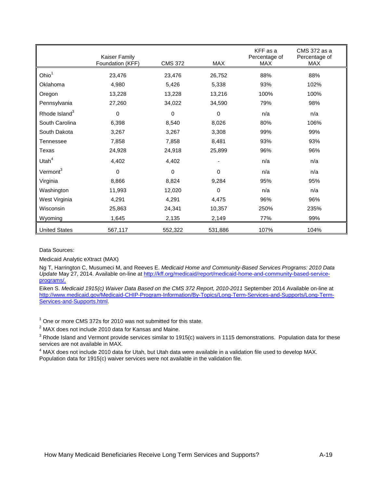|                           | Kaiser Family<br>Foundation (KFF) | <b>CMS 372</b> | MAX         | KFF as a<br>Percentage of<br><b>MAX</b> | CMS 372 as a<br>Percentage of<br>MAX |
|---------------------------|-----------------------------------|----------------|-------------|-----------------------------------------|--------------------------------------|
| Ohio <sup>1</sup>         | 23,476                            | 23,476         | 26,752      | 88%                                     | 88%                                  |
| Oklahoma                  | 4,980                             | 5,426          | 5,338       | 93%                                     | 102%                                 |
| Oregon                    | 13,228                            | 13,228         | 13,216      | 100%                                    | 100%                                 |
| Pennsylvania              | 27,260                            | 34,022         | 34,590      | 79%                                     | 98%                                  |
| Rhode Island <sup>3</sup> | $\mathbf 0$                       | 0              | $\mathbf 0$ | n/a                                     | n/a                                  |
| South Carolina            | 6,398                             | 8,540          | 8,026       | 80%                                     | 106%                                 |
| South Dakota              | 3,267                             | 3,267          | 3,308       | 99%                                     | 99%                                  |
| Tennessee                 | 7,858                             | 7,858          | 8,481       | 93%                                     | 93%                                  |
| Texas                     | 24,928                            | 24,918         | 25,899      | 96%                                     | 96%                                  |
| Utah $4$                  | 4,402                             | 4,402          |             | n/a                                     | n/a                                  |
| Vermont <sup>3</sup>      | $\mathbf 0$                       | $\mathbf 0$    | $\Omega$    | n/a                                     | n/a                                  |
| Virginia                  | 8,866                             | 8,824          | 9,284       | 95%                                     | 95%                                  |
| Washington                | 11,993                            | 12,020         | $\Omega$    | n/a                                     | n/a                                  |
| West Virginia             | 4,291                             | 4,291          | 4,475       | 96%                                     | 96%                                  |
| Wisconsin                 | 25,863                            | 24,341         | 10,357      | 250%                                    | 235%                                 |
| Wyoming                   | 1,645                             | 2,135          | 2,149       | 77%                                     | 99%                                  |
| <b>United States</b>      | 567,117                           | 552,322        | 531,886     | 107%                                    | 104%                                 |

Data Sources:

Medicaid Analytic eXtract (MAX)

Ng T, Harrington C, Musumeci M, and Reeves E. *Medicaid Home and Community-Based Services Programs: 2010 Data Update* May 27, 2014. Available on-line at [http://kff.org/medicaid/report/medicaid-home-and-community-based-service](http://kff.org/medicaid/report/medicaid-home-and-community-based-service-programs/)[programs/.](http://kff.org/medicaid/report/medicaid-home-and-community-based-service-programs/) 

Eiken S. *Medicaid 1915(c) Waiver Data Based on the CMS 372 Report, 2010-2011* September 2014 Available on-line at [http://www.medicaid.gov/Medicaid-CHIP-Program-Information/By-Topics/Long-Term-Services-and-Supports/Long-Term-](http://www.medicaid.gov/Medicaid-CHIP-Program-Information/By-Topics/Long-Term-Services-and-Supports/Long-Term-Services-and-Supports.html)[Services-and-Supports.html.](http://www.medicaid.gov/Medicaid-CHIP-Program-Information/By-Topics/Long-Term-Services-and-Supports/Long-Term-Services-and-Supports.html)

 $1$  One or more CMS 372s for 2010 was not submitted for this state.

 $2$  MAX does not include 2010 data for Kansas and Maine.

 $3$  Rhode Island and Vermont provide services similar to 1915(c) waivers in 1115 demonstrations. Population data for these services are not available in MAX.

<sup>4</sup> MAX does not include 2010 data for Utah, but Utah data were available in a validation file used to develop MAX. Population data for 1915(c) waiver services were not available in the validation file.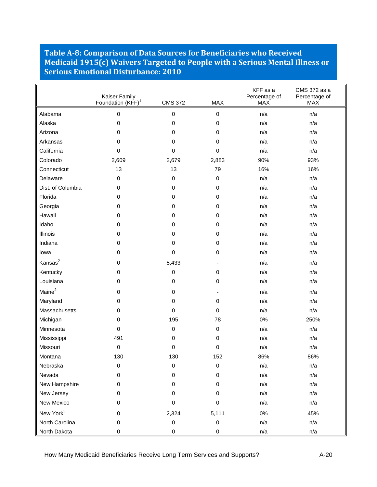#### <span id="page-47-0"></span>**Table A-8: Comparison of Data Sources for Beneficiaries who Received Medicaid 1915(c) Waivers Targeted to People with a Serious Mental Illness or Serious Emotional Disturbance: 2010**

|                       | Kaiser Family<br>Foundation (KFF) <sup>1</sup> | <b>CMS 372</b>   | <b>MAX</b>  | KFF as a<br>Percentage of<br><b>MAX</b> | CMS 372 as a<br>Percentage of<br><b>MAX</b> |
|-----------------------|------------------------------------------------|------------------|-------------|-----------------------------------------|---------------------------------------------|
| Alabama               | 0                                              | 0                | 0           | n/a                                     | n/a                                         |
| Alaska                | 0                                              | 0                | 0           | n/a                                     | n/a                                         |
| Arizona               | 0                                              | 0                | 0           | n/a                                     | n/a                                         |
| Arkansas              | 0                                              | 0                | $\mathbf 0$ | n/a                                     | n/a                                         |
| California            | 0                                              | 0                | 0           | n/a                                     | n/a                                         |
| Colorado              | 2,609                                          | 2,679            | 2,883       | 90%                                     | 93%                                         |
| Connecticut           | 13                                             | 13               | 79          | 16%                                     | 16%                                         |
| Delaware              | 0                                              | $\mathbf 0$      | 0           | n/a                                     | n/a                                         |
| Dist. of Columbia     | 0                                              | 0                | 0           | n/a                                     | n/a                                         |
| Florida               | 0                                              | 0                | 0           | n/a                                     | n/a                                         |
| Georgia               | 0                                              | 0                | 0           | n/a                                     | n/a                                         |
| Hawaii                | 0                                              | 0                | 0           | n/a                                     | n/a                                         |
| Idaho                 | 0                                              | 0                | 0           | n/a                                     | n/a                                         |
| Illinois              | 0                                              | 0                | 0           | n/a                                     | n/a                                         |
| Indiana               | 0                                              | 0                | 0           | n/a                                     | n/a                                         |
| lowa                  | 0                                              | 0                | 0           | n/a                                     | n/a                                         |
| Kansas <sup>2</sup>   | 0                                              | 5,433            |             | n/a                                     | n/a                                         |
| Kentucky              | 0                                              | 0                | $\mathbf 0$ | n/a                                     | n/a                                         |
| Louisiana             | 0                                              | 0                | 0           | n/a                                     | n/a                                         |
| Maine <sup>2</sup>    | 0                                              | 0                |             | n/a                                     | n/a                                         |
| Maryland              | 0                                              | 0                | 0           | n/a                                     | n/a                                         |
| Massachusetts         | 0                                              | 0                | 0           | n/a                                     | n/a                                         |
| Michigan              | 0                                              | 195              | 78          | 0%                                      | 250%                                        |
| Minnesota             | 0                                              | 0                | 0           | n/a                                     | n/a                                         |
| Mississippi           | 491                                            | 0                | 0           | n/a                                     | n/a                                         |
| Missouri              | 0                                              | 0                | 0           | n/a                                     | n/a                                         |
| Montana               | 130                                            | 130              | 152         | 86%                                     | 86%                                         |
| Nebraska              | 0                                              | 0                | 0           | n/a                                     | n/a                                         |
| Nevada                | 0                                              | 0                | 0           | n/a                                     | n/a                                         |
| New Hampshire         | 0                                              | 0                | 0           | n/a                                     | n/a                                         |
| New Jersey            | 0                                              | 0                | 0           | n/a                                     | n/a                                         |
| New Mexico            | 0                                              | 0                | 0           | n/a                                     | n/a                                         |
| New York <sup>3</sup> | 0                                              | 2,324            | 5,111       | $0\%$                                   | 45%                                         |
| North Carolina        | 0                                              | $\boldsymbol{0}$ | 0           | n/a                                     | n/a                                         |
| North Dakota          | 0                                              | 0                | 0           | n/a                                     | n/a                                         |